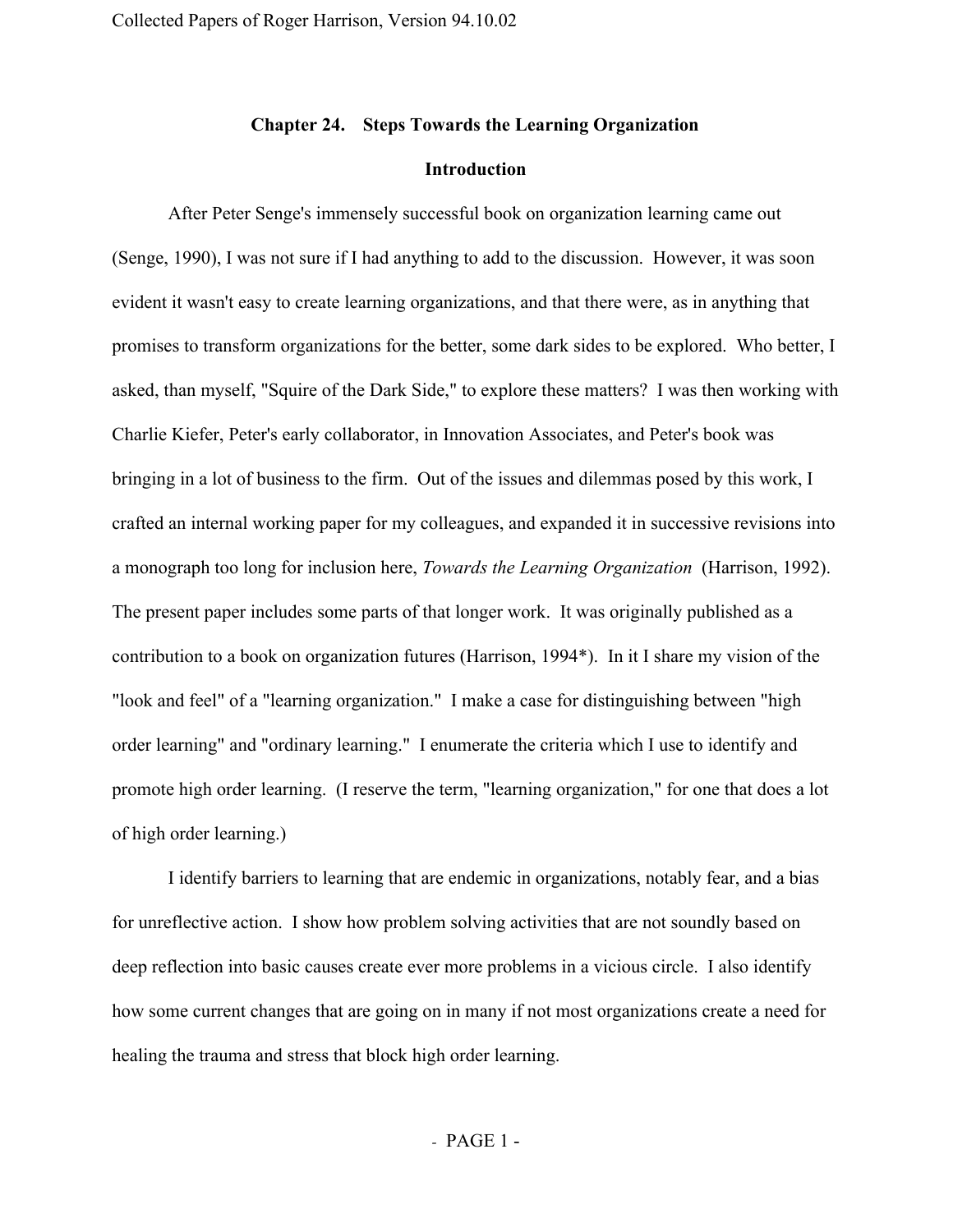## **Chapter 24. Steps Towards the Learning Organization**

### **Introduction**

After Peter Senge's immensely successful book on organization learning came out (Senge, 1990), I was not sure if I had anything to add to the discussion. However, it was soon evident it wasn't easy to create learning organizations, and that there were, as in anything that promises to transform organizations for the better, some dark sides to be explored. Who better, I asked, than myself, "Squire of the Dark Side," to explore these matters? I was then working with Charlie Kiefer, Peter's early collaborator, in Innovation Associates, and Peter's book was bringing in a lot of business to the firm. Out of the issues and dilemmas posed by this work, I crafted an internal working paper for my colleagues, and expanded it in successive revisions into a monograph too long for inclusion here, *Towards the Learning Organization* (Harrison, 1992). The present paper includes some parts of that longer work. It was originally published as a contribution to a book on organization futures (Harrison, 1994\*). In it I share my vision of the "look and feel" of a "learning organization." I make a case for distinguishing between "high order learning" and "ordinary learning." I enumerate the criteria which I use to identify and promote high order learning. (I reserve the term, "learning organization," for one that does a lot of high order learning.)

I identify barriers to learning that are endemic in organizations, notably fear, and a bias for unreflective action. I show how problem solving activities that are not soundly based on deep reflection into basic causes create ever more problems in a vicious circle. I also identify how some current changes that are going on in many if not most organizations create a need for healing the trauma and stress that block high order learning.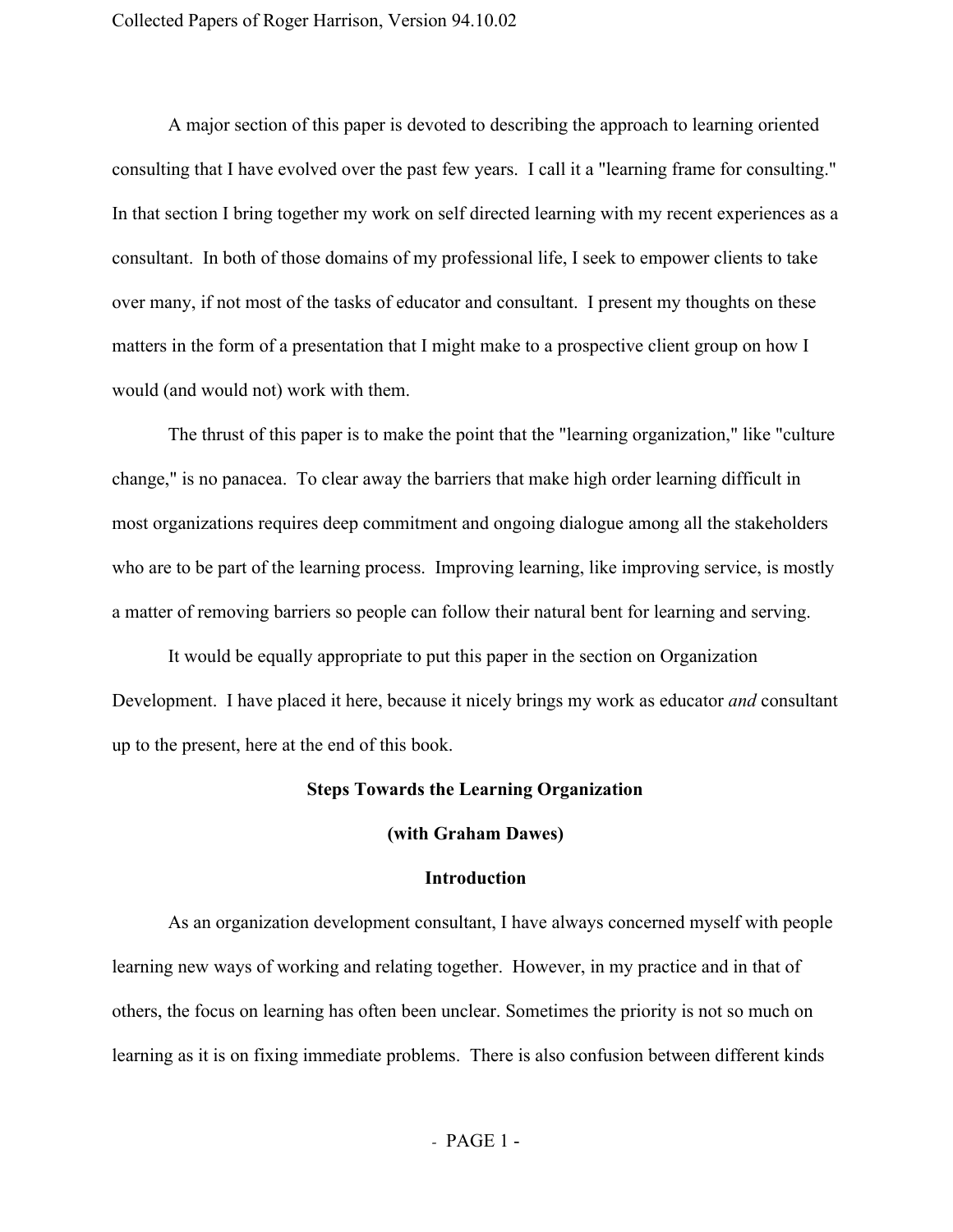A major section of this paper is devoted to describing the approach to learning oriented consulting that I have evolved over the past few years. I call it a "learning frame for consulting." In that section I bring together my work on self directed learning with my recent experiences as a consultant. In both of those domains of my professional life, I seek to empower clients to take over many, if not most of the tasks of educator and consultant. I present my thoughts on these matters in the form of a presentation that I might make to a prospective client group on how I would (and would not) work with them.

The thrust of this paper is to make the point that the "learning organization," like "culture change," is no panacea. To clear away the barriers that make high order learning difficult in most organizations requires deep commitment and ongoing dialogue among all the stakeholders who are to be part of the learning process. Improving learning, like improving service, is mostly a matter of removing barriers so people can follow their natural bent for learning and serving.

It would be equally appropriate to put this paper in the section on Organization Development. I have placed it here, because it nicely brings my work as educator *and* consultant up to the present, here at the end of this book.

## **Steps Towards the Learning Organization**

#### **(with Graham Dawes)**

## **Introduction**

As an organization development consultant, I have always concerned myself with people learning new ways of working and relating together. However, in my practice and in that of others, the focus on learning has often been unclear. Sometimes the priority is not so much on learning as it is on fixing immediate problems. There is also confusion between different kinds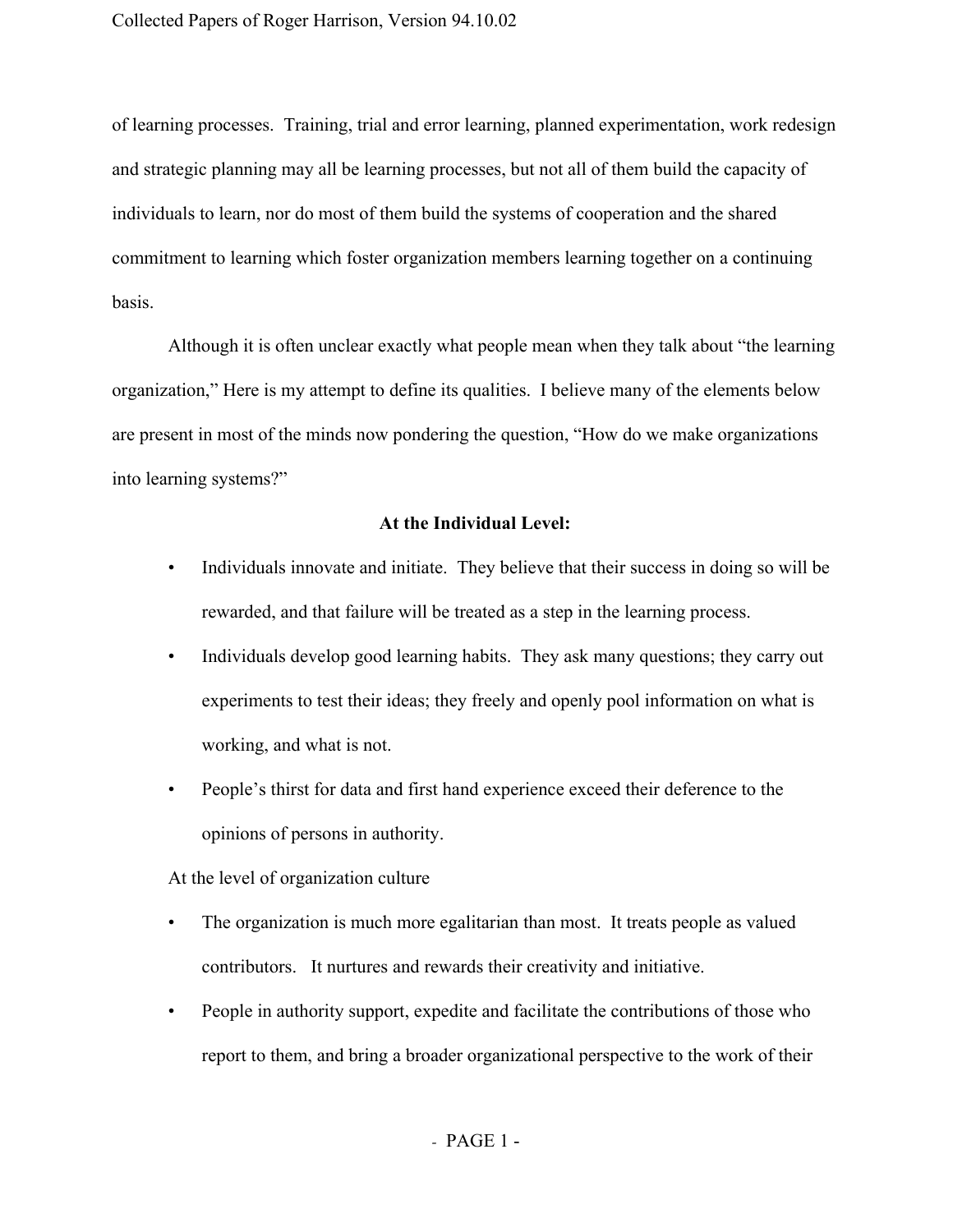of learning processes. Training, trial and error learning, planned experimentation, work redesign and strategic planning may all be learning processes, but not all of them build the capacity of individuals to learn, nor do most of them build the systems of cooperation and the shared commitment to learning which foster organization members learning together on a continuing basis.

Although it is often unclear exactly what people mean when they talk about "the learning organization," Here is my attempt to define its qualities. I believe many of the elements below are present in most of the minds now pondering the question, "How do we make organizations into learning systems?"

# **At the Individual Level:**

- Individuals innovate and initiate. They believe that their success in doing so will be rewarded, and that failure will be treated as a step in the learning process.
- Individuals develop good learning habits. They ask many questions; they carry out experiments to test their ideas; they freely and openly pool information on what is working, and what is not.
- People's thirst for data and first hand experience exceed their deference to the opinions of persons in authority.

## At the level of organization culture

- The organization is much more egalitarian than most. It treats people as valued contributors. It nurtures and rewards their creativity and initiative.
- People in authority support, expedite and facilitate the contributions of those who report to them, and bring a broader organizational perspective to the work of their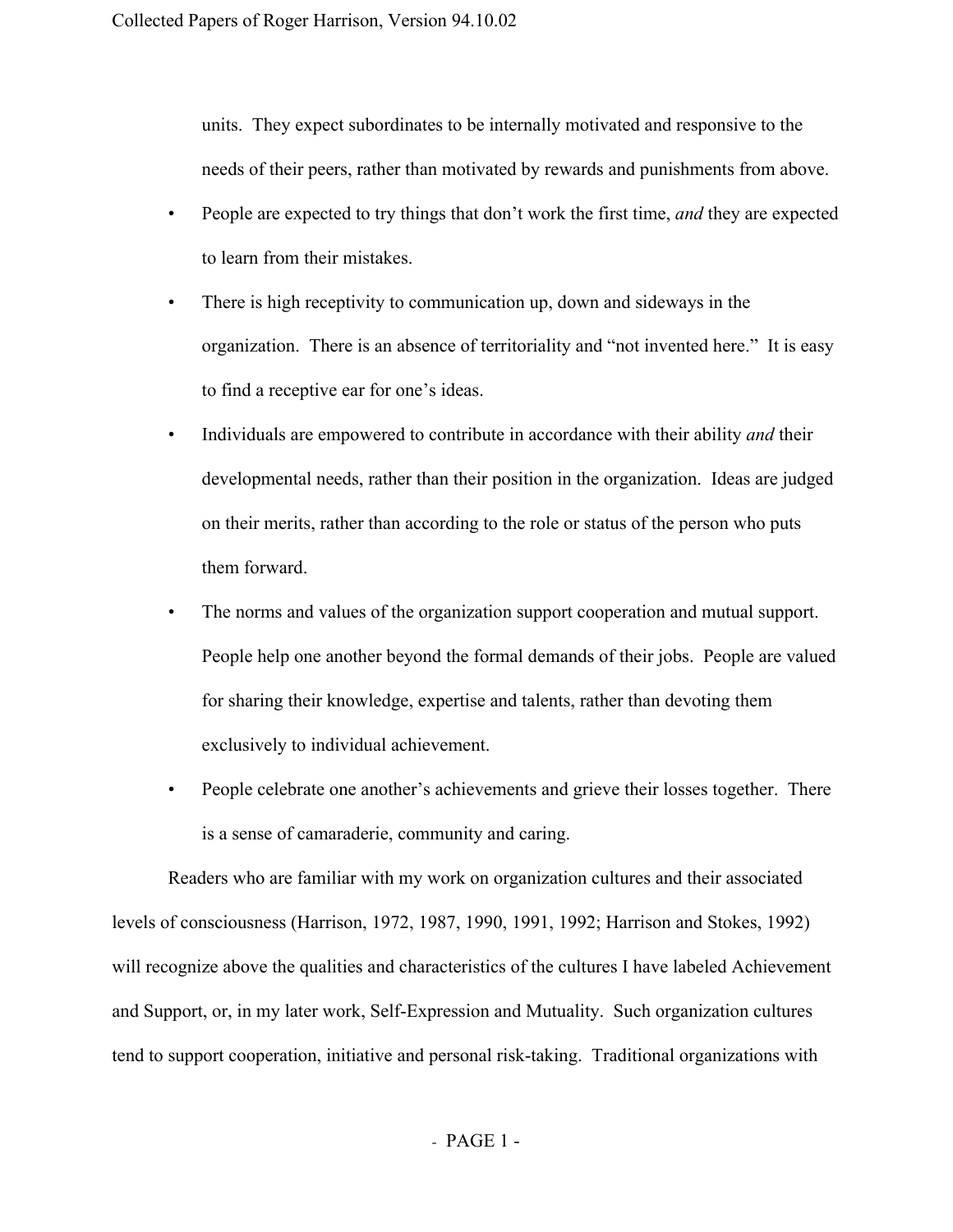units. They expect subordinates to be internally motivated and responsive to the needs of their peers, rather than motivated by rewards and punishments from above.

- People are expected to try things that don't work the first time, *and* they are expected to learn from their mistakes.
- There is high receptivity to communication up, down and sideways in the organization. There is an absence of territoriality and "not invented here." It is easy to find a receptive ear for one's ideas.
- Individuals are empowered to contribute in accordance with their ability *and* their developmental needs, rather than their position in the organization. Ideas are judged on their merits, rather than according to the role or status of the person who puts them forward.
- The norms and values of the organization support cooperation and mutual support. People help one another beyond the formal demands of their jobs. People are valued for sharing their knowledge, expertise and talents, rather than devoting them exclusively to individual achievement.
- People celebrate one another's achievements and grieve their losses together. There is a sense of camaraderie, community and caring.

Readers who are familiar with my work on organization cultures and their associated levels of consciousness (Harrison, 1972, 1987, 1990, 1991, 1992; Harrison and Stokes, 1992) will recognize above the qualities and characteristics of the cultures I have labeled Achievement and Support, or, in my later work, Self-Expression and Mutuality. Such organization cultures tend to support cooperation, initiative and personal risk-taking. Traditional organizations with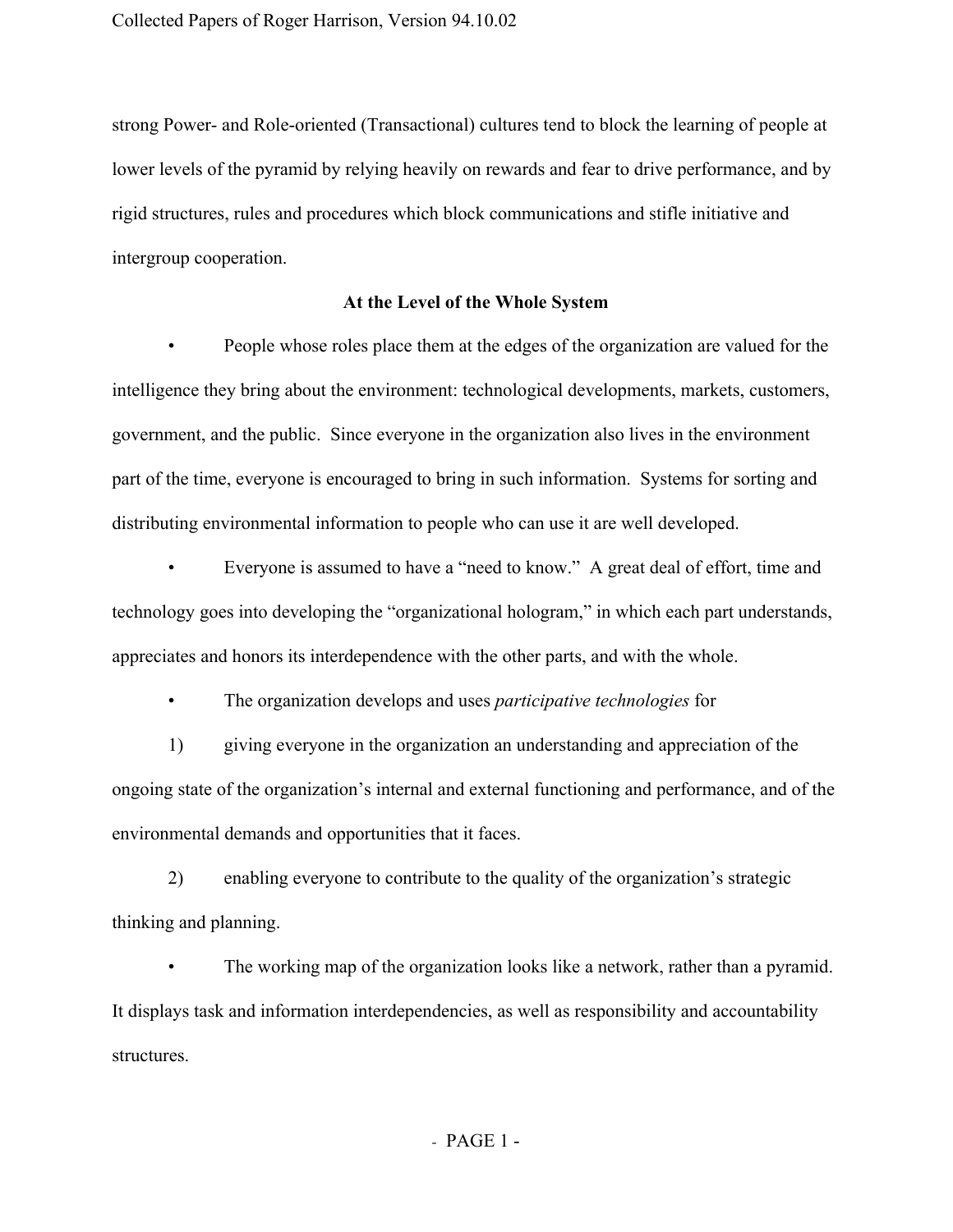strong Power- and Role-oriented (Transactional) cultures tend to block the learning of people at lower levels of the pyramid by relying heavily on rewards and fear to drive performance, and by rigid structures, rules and procedures which block communications and stifle initiative and intergroup cooperation.

## **At the Level of the Whole System**

• People whose roles place them at the edges of the organization are valued for the intelligence they bring about the environment: technological developments, markets, customers, government, and the public. Since everyone in the organization also lives in the environment part of the time, everyone is encouraged to bring in such information. Systems for sorting and distributing environmental information to people who can use it are well developed.

• Everyone is assumed to have a "need to know." A great deal of effort, time and technology goes into developing the "organizational hologram," in which each part understands, appreciates and honors its interdependence with the other parts, and with the whole.

• The organization develops and uses *participative technologies* for

1) giving everyone in the organization an understanding and appreciation of the ongoing state of the organization's internal and external functioning and performance, and of the environmental demands and opportunities that it faces.

2) enabling everyone to contribute to the quality of the organization's strategic thinking and planning.

The working map of the organization looks like a network, rather than a pyramid. It displays task and information interdependencies, as well as responsibility and accountability structures.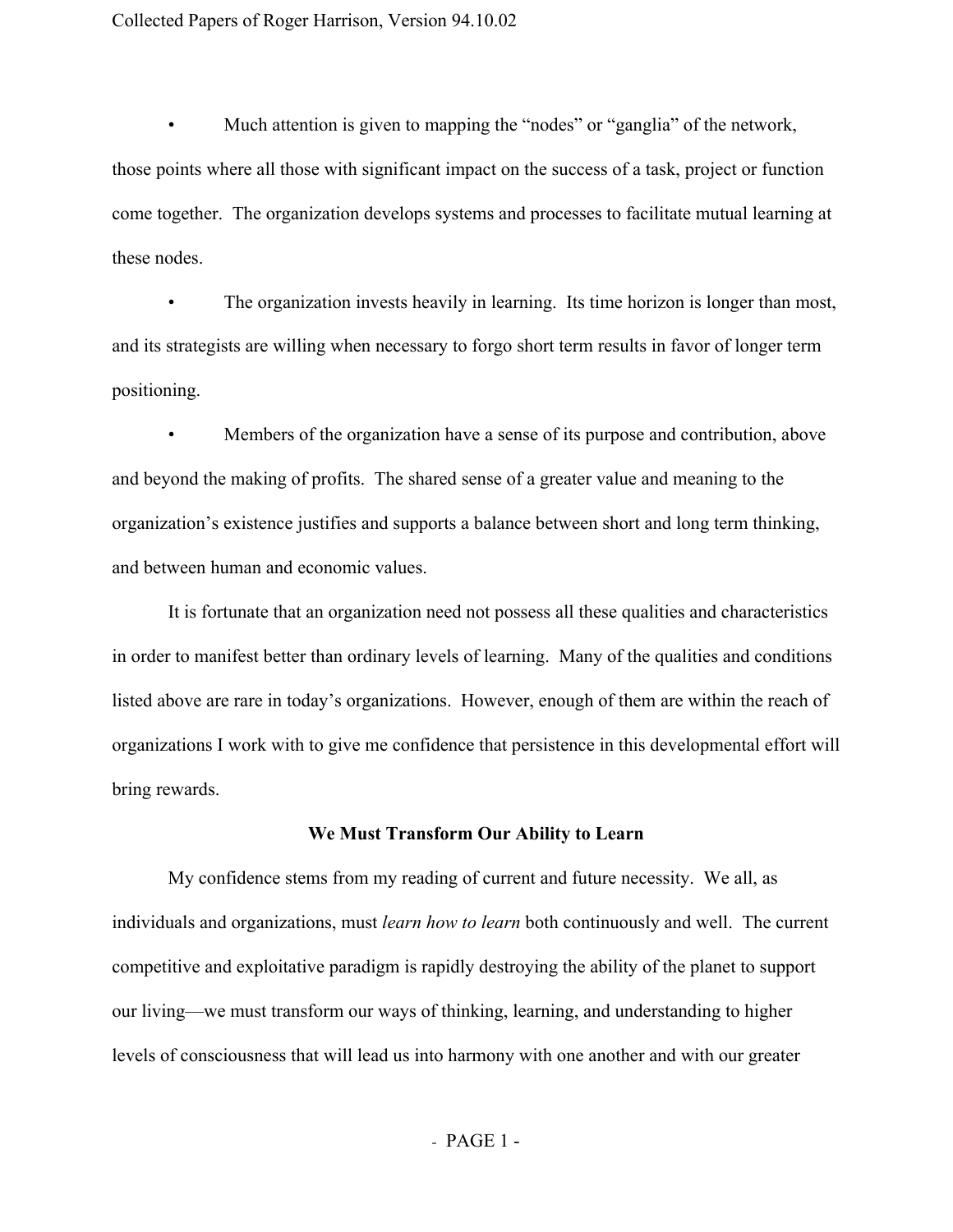Collected Papers of Roger Harrison, Version 94.10.02

Much attention is given to mapping the "nodes" or "ganglia" of the network, those points where all those with significant impact on the success of a task, project or function come together. The organization develops systems and processes to facilitate mutual learning at these nodes.

The organization invests heavily in learning. Its time horizon is longer than most, and its strategists are willing when necessary to forgo short term results in favor of longer term positioning.

• Members of the organization have a sense of its purpose and contribution, above and beyond the making of profits. The shared sense of a greater value and meaning to the organization's existence justifies and supports a balance between short and long term thinking, and between human and economic values.

It is fortunate that an organization need not possess all these qualities and characteristics in order to manifest better than ordinary levels of learning. Many of the qualities and conditions listed above are rare in today's organizations. However, enough of them are within the reach of organizations I work with to give me confidence that persistence in this developmental effort will bring rewards.

## **We Must Transform Our Ability to Learn**

My confidence stems from my reading of current and future necessity. We all, as individuals and organizations, must *learn how to learn* both continuously and well. The current competitive and exploitative paradigm is rapidly destroying the ability of the planet to support our living—we must transform our ways of thinking, learning, and understanding to higher levels of consciousness that will lead us into harmony with one another and with our greater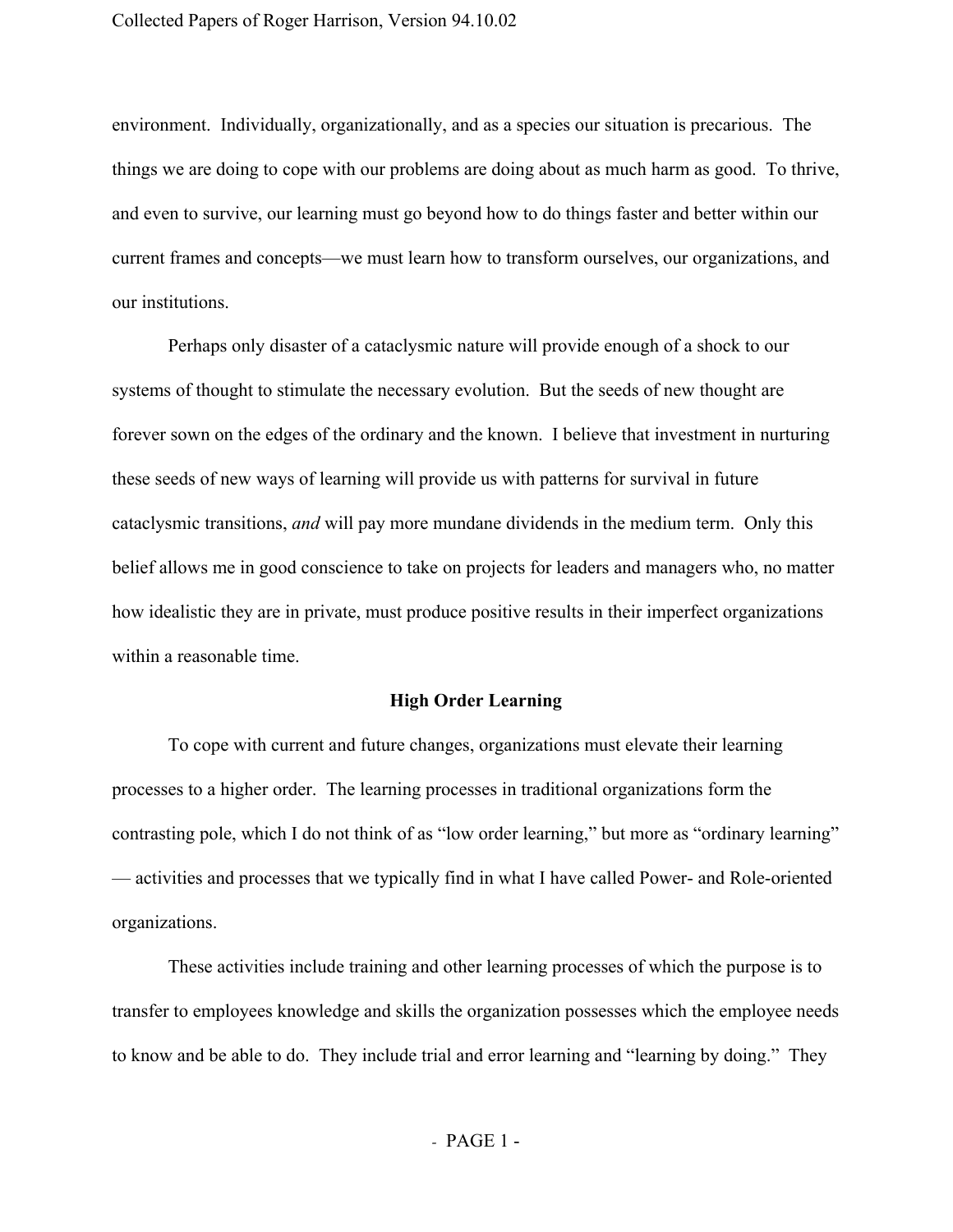environment. Individually, organizationally, and as a species our situation is precarious. The things we are doing to cope with our problems are doing about as much harm as good. To thrive, and even to survive, our learning must go beyond how to do things faster and better within our current frames and concepts—we must learn how to transform ourselves, our organizations, and our institutions.

Perhaps only disaster of a cataclysmic nature will provide enough of a shock to our systems of thought to stimulate the necessary evolution. But the seeds of new thought are forever sown on the edges of the ordinary and the known. I believe that investment in nurturing these seeds of new ways of learning will provide us with patterns for survival in future cataclysmic transitions, *and* will pay more mundane dividends in the medium term. Only this belief allows me in good conscience to take on projects for leaders and managers who, no matter how idealistic they are in private, must produce positive results in their imperfect organizations within a reasonable time.

## **High Order Learning**

To cope with current and future changes, organizations must elevate their learning processes to a higher order. The learning processes in traditional organizations form the contrasting pole, which I do not think of as "low order learning," but more as "ordinary learning" — activities and processes that we typically find in what I have called Power- and Role-oriented organizations.

These activities include training and other learning processes of which the purpose is to transfer to employees knowledge and skills the organization possesses which the employee needs to know and be able to do. They include trial and error learning and "learning by doing." They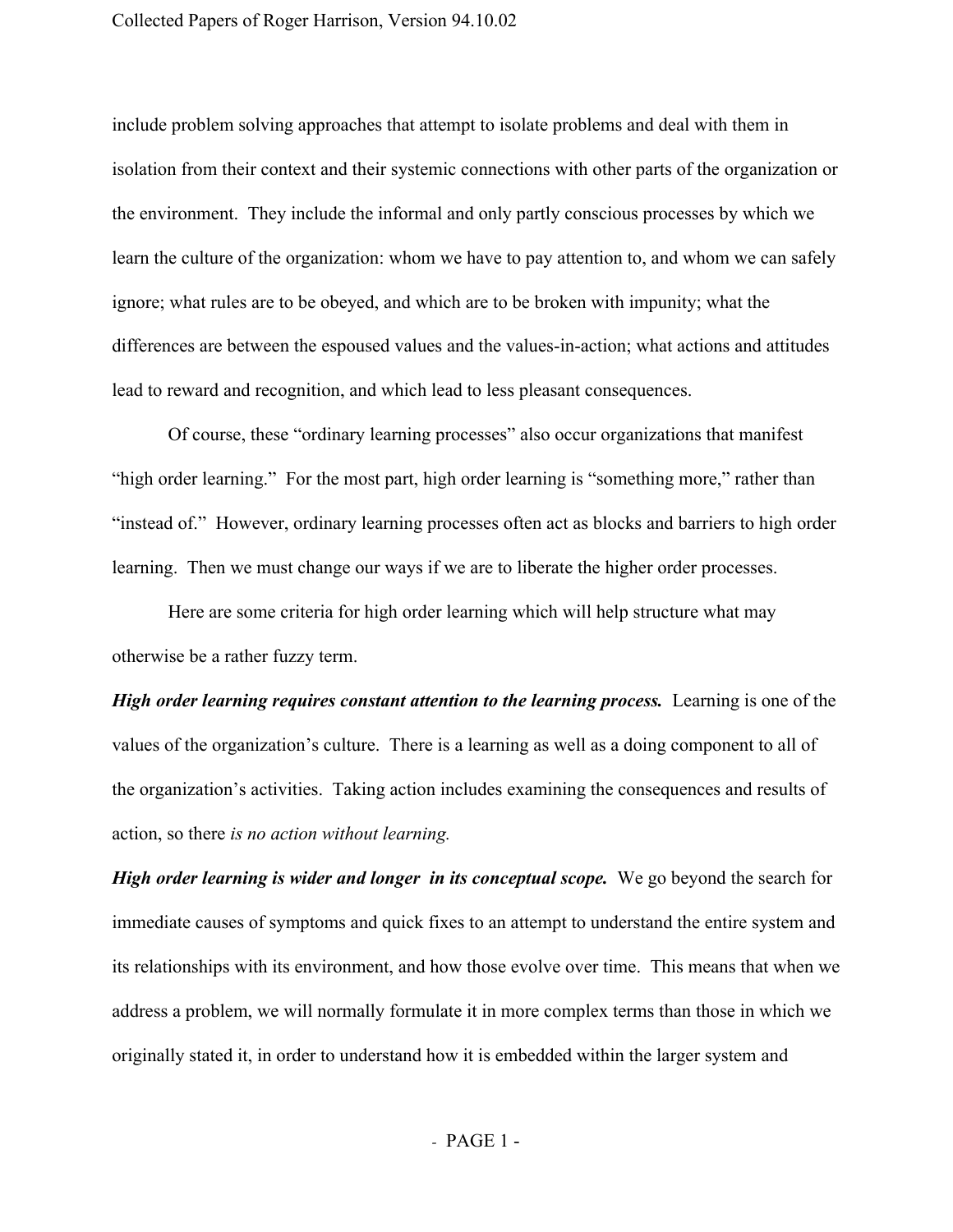include problem solving approaches that attempt to isolate problems and deal with them in isolation from their context and their systemic connections with other parts of the organization or the environment. They include the informal and only partly conscious processes by which we learn the culture of the organization: whom we have to pay attention to, and whom we can safely ignore; what rules are to be obeyed, and which are to be broken with impunity; what the differences are between the espoused values and the values-in-action; what actions and attitudes lead to reward and recognition, and which lead to less pleasant consequences.

Of course, these "ordinary learning processes" also occur organizations that manifest "high order learning." For the most part, high order learning is "something more," rather than "instead of." However, ordinary learning processes often act as blocks and barriers to high order learning. Then we must change our ways if we are to liberate the higher order processes.

Here are some criteria for high order learning which will help structure what may otherwise be a rather fuzzy term.

*High order learning requires constant attention to the learning process.*Learning is one of the values of the organization's culture. There is a learning as well as a doing component to all of the organization's activities. Taking action includes examining the consequences and results of action, so there *is no action without learning.*

*High order learning is wider and longer in its conceptual scope.* We go beyond the search for immediate causes of symptoms and quick fixes to an attempt to understand the entire system and its relationships with its environment, and how those evolve over time. This means that when we address a problem, we will normally formulate it in more complex terms than those in which we originally stated it, in order to understand how it is embedded within the larger system and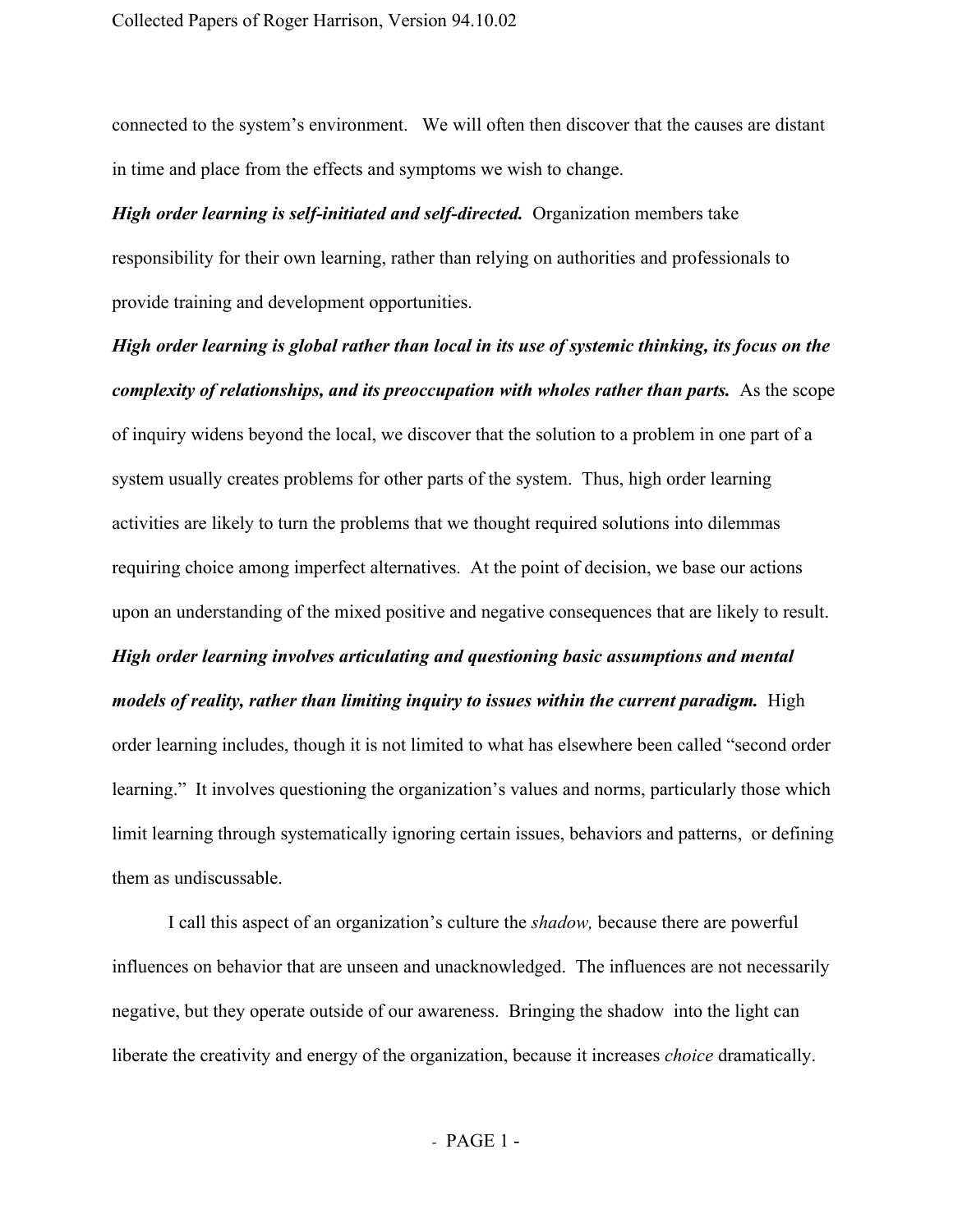connected to the system's environment. We will often then discover that the causes are distant in time and place from the effects and symptoms we wish to change.

*High order learning is self-initiated and self-directed.* Organization members take responsibility for their own learning, rather than relying on authorities and professionals to provide training and development opportunities.

*High order learning is global rather than local in its use of systemic thinking, its focus on the complexity of relationships, and its preoccupation with wholes rather than parts.* As the scope of inquiry widens beyond the local, we discover that the solution to a problem in one part of a system usually creates problems for other parts of the system. Thus, high order learning activities are likely to turn the problems that we thought required solutions into dilemmas requiring choice among imperfect alternatives. At the point of decision, we base our actions upon an understanding of the mixed positive and negative consequences that are likely to result. *High order learning involves articulating and questioning basic assumptions and mental models of reality, rather than limiting inquiry to issues within the current paradigm.* High order learning includes, though it is not limited to what has elsewhere been called "second order learning." It involves questioning the organization's values and norms, particularly those which limit learning through systematically ignoring certain issues, behaviors and patterns, or defining them as undiscussable.

I call this aspect of an organization's culture the *shadow,* because there are powerful influences on behavior that are unseen and unacknowledged. The influences are not necessarily negative, but they operate outside of our awareness. Bringing the shadow into the light can liberate the creativity and energy of the organization, because it increases *choice* dramatically.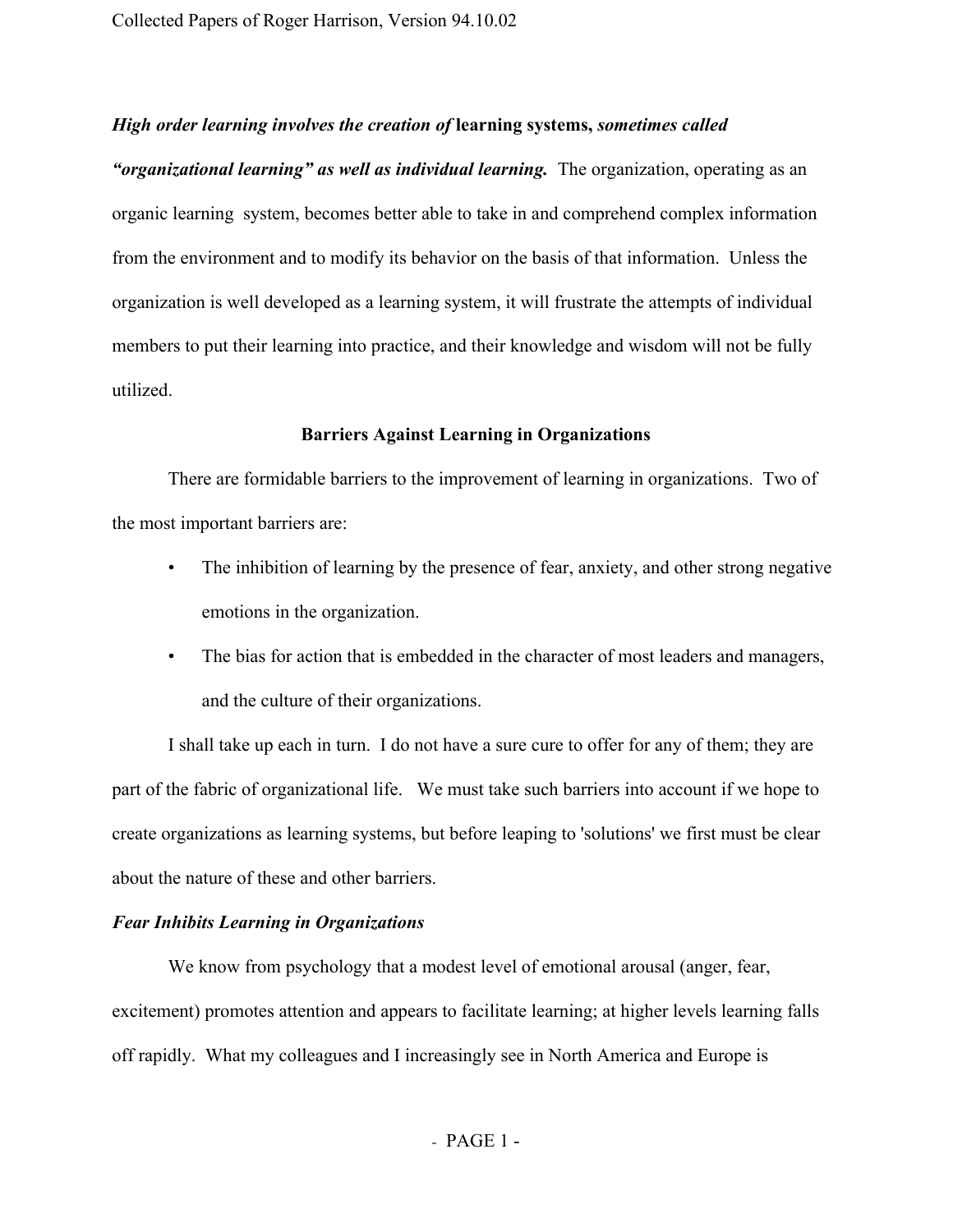## *High order learning involves the creation of* **learningsystems,** *sometimes called*

*"organizational learning" as well as individual learning.* The organization, operating as an organic learning system, becomes better able to take in and comprehend complex information from the environment and to modify its behavior on the basis of that information. Unless the organization is well developed as a learning system, it will frustrate the attempts of individual members to put their learning into practice, and their knowledge and wisdom will not be fully utilized.

## **Barriers Against Learning in Organizations**

There are formidable barriers to the improvement of learning in organizations. Two of the most important barriers are:

- The inhibition of learning by the presence of fear, anxiety, and other strong negative emotions in the organization.
- The bias for action that is embedded in the character of most leaders and managers, and the culture of their organizations.

I shall take up each in turn. I do not have a sure cure to offer for any of them; they are part of the fabric of organizational life. We must take such barriers into account if we hope to create organizations as learning systems, but before leaping to 'solutions' we first must be clear about the nature of these and other barriers.

## *Fear Inhibits Learning in Organizations*

We know from psychology that a modest level of emotional arousal (anger, fear, excitement) promotes attention and appears to facilitate learning; at higher levels learning falls off rapidly. What my colleagues and I increasingly see in North America and Europe is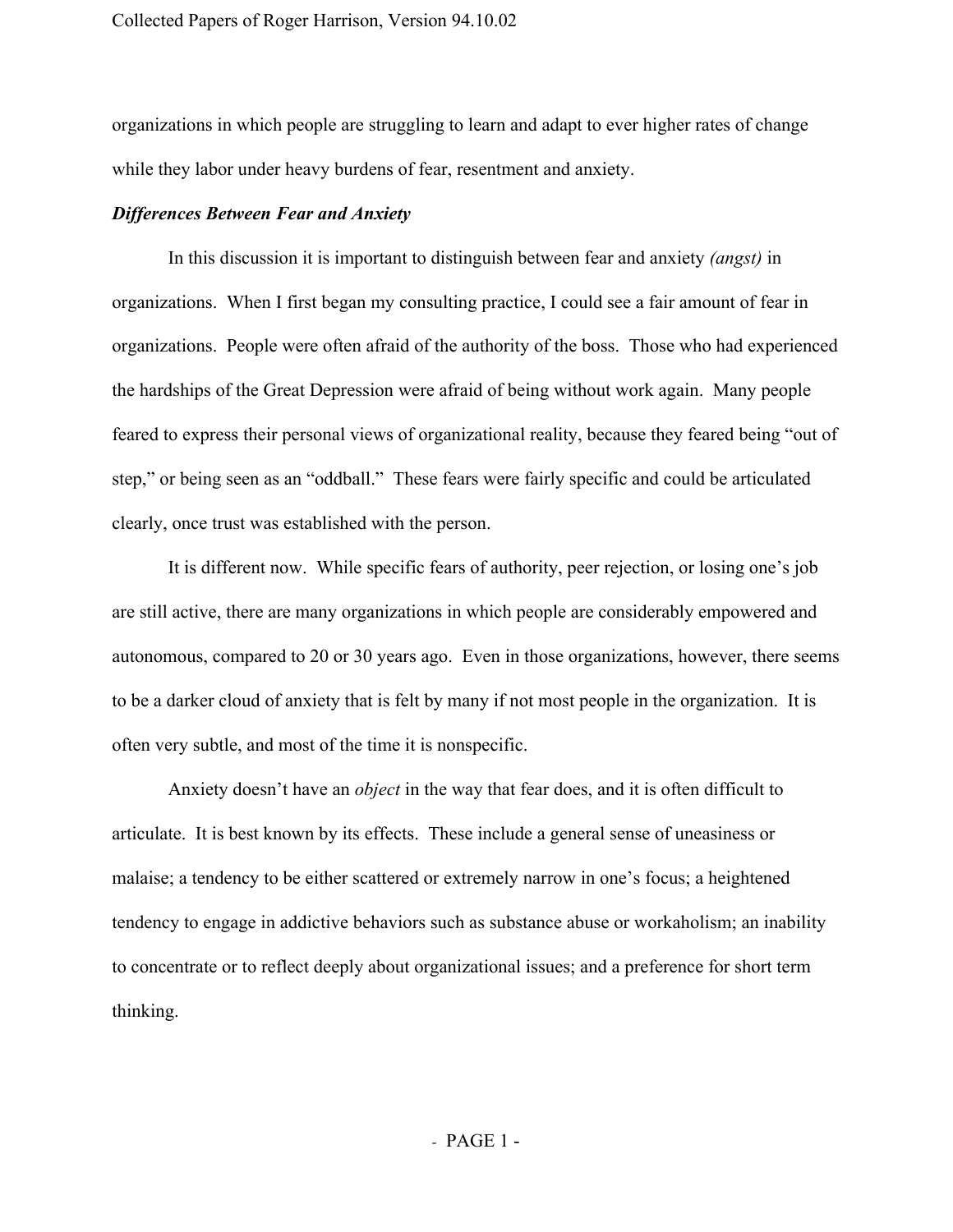organizations in which people are struggling to learn and adapt to ever higher rates of change while they labor under heavy burdens of fear, resentment and anxiety.

## *Differences Between Fear and Anxiety*

In this discussion it is important to distinguish between fear and anxiety *(angst)* in organizations. When I first began my consulting practice, I could see a fair amount of fear in organizations. People were often afraid of the authority of the boss. Those who had experienced the hardships of the Great Depression were afraid of being without work again. Many people feared to express their personal views of organizational reality, because they feared being "out of step," or being seen as an "oddball." These fears were fairly specific and could be articulated clearly, once trust was established with the person.

It is different now. While specific fears of authority, peer rejection, or losing one's job are still active, there are many organizations in which people are considerably empowered and autonomous, compared to 20 or 30 years ago. Even in those organizations, however, there seems to be a darker cloud of anxiety that is felt by many if not most people in the organization. It is often very subtle, and most of the time it is nonspecific.

Anxiety doesn't have an *object* in the way that fear does, and it is often difficult to articulate. It is best known by its effects. These include a general sense of uneasiness or malaise; a tendency to be either scattered or extremely narrow in one's focus; a heightened tendency to engage in addictive behaviors such as substance abuse or workaholism; an inability to concentrate or to reflect deeply about organizational issues; and a preference for short term thinking.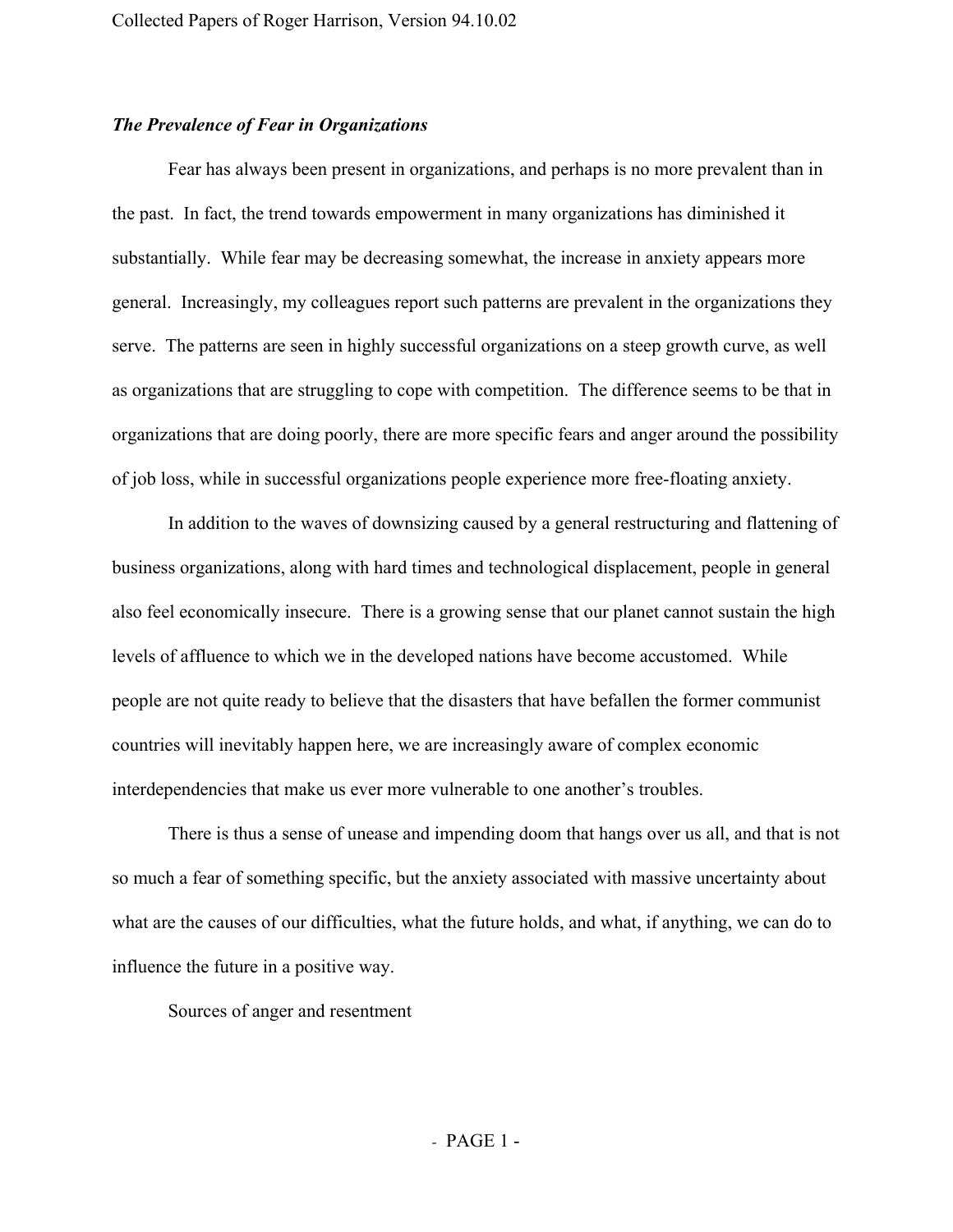## *The Prevalence of Fear in Organizations*

Fear has always been present in organizations, and perhaps is no more prevalent than in the past. In fact, the trend towards empowerment in many organizations has diminished it substantially. While fear may be decreasing somewhat, the increase in anxiety appears more general. Increasingly, my colleagues report such patterns are prevalent in the organizations they serve. The patterns are seen in highly successful organizations on a steep growth curve, as well as organizations that are struggling to cope with competition. The difference seems to be that in organizations that are doing poorly, there are more specific fears and anger around the possibility of job loss, while in successful organizations people experience more freefloating anxiety.

In addition to the waves of downsizing caused by a general restructuring and flattening of business organizations, along with hard times and technological displacement, people in general also feel economically insecure. There is a growing sense that our planet cannot sustain the high levels of affluence to which we in the developed nations have become accustomed. While people are not quite ready to believe that the disasters that have befallen the former communist countries will inevitably happen here, we are increasingly aware of complex economic interdependencies that make us ever more vulnerable to one another's troubles.

There is thus a sense of unease and impending doom that hangs over us all, and that is not so much a fear of something specific, but the anxiety associated with massive uncertainty about what are the causes of our difficulties, what the future holds, and what, if anything, we can do to influence the future in a positive way.

Sources of anger and resentment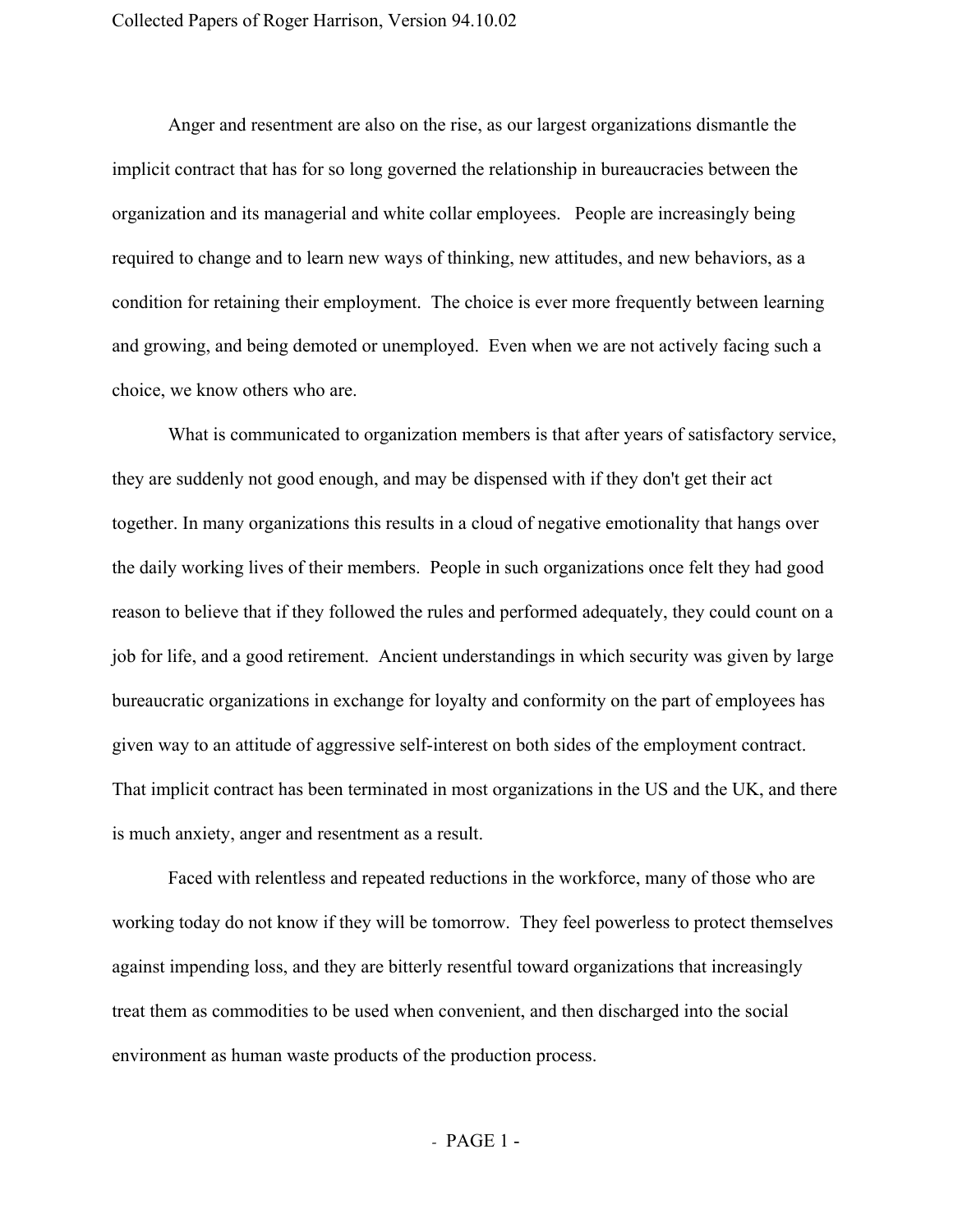Anger and resentment are also on the rise, as our largest organizations dismantle the implicit contract that has for so long governed the relationship in bureaucracies between the organization and its managerial and white collar employees. People are increasingly being required to change and to learn new ways of thinking, new attitudes, and new behaviors, as a condition for retaining their employment. The choice is ever more frequently between learning and growing, and being demoted or unemployed. Even when we are not actively facing such a choice, we know others who are.

What is communicated to organization members is that after years of satisfactory service, they are suddenly not good enough, and may be dispensed with if they don't get their act together. In many organizations this results in a cloud of negative emotionality that hangs over the daily working lives of their members. People in such organizations once felt they had good reason to believe that if they followed the rules and performed adequately, they could count on a job for life, and a good retirement. Ancient understandings in which security was given by large bureaucratic organizations in exchange for loyalty and conformity on the part of employees has given way to an attitude of aggressive self-interest on both sides of the employment contract. That implicit contract has been terminated in most organizations in the US and the UK, and there is much anxiety, anger and resentment as a result.

Faced with relentless and repeated reductions in the workforce, many of those who are working today do not know if they will be tomorrow. They feel powerless to protect themselves against impending loss, and they are bitterly resentful toward organizations that increasingly treat them as commodities to be used when convenient, and then discharged into the social environment as human waste products of the production process.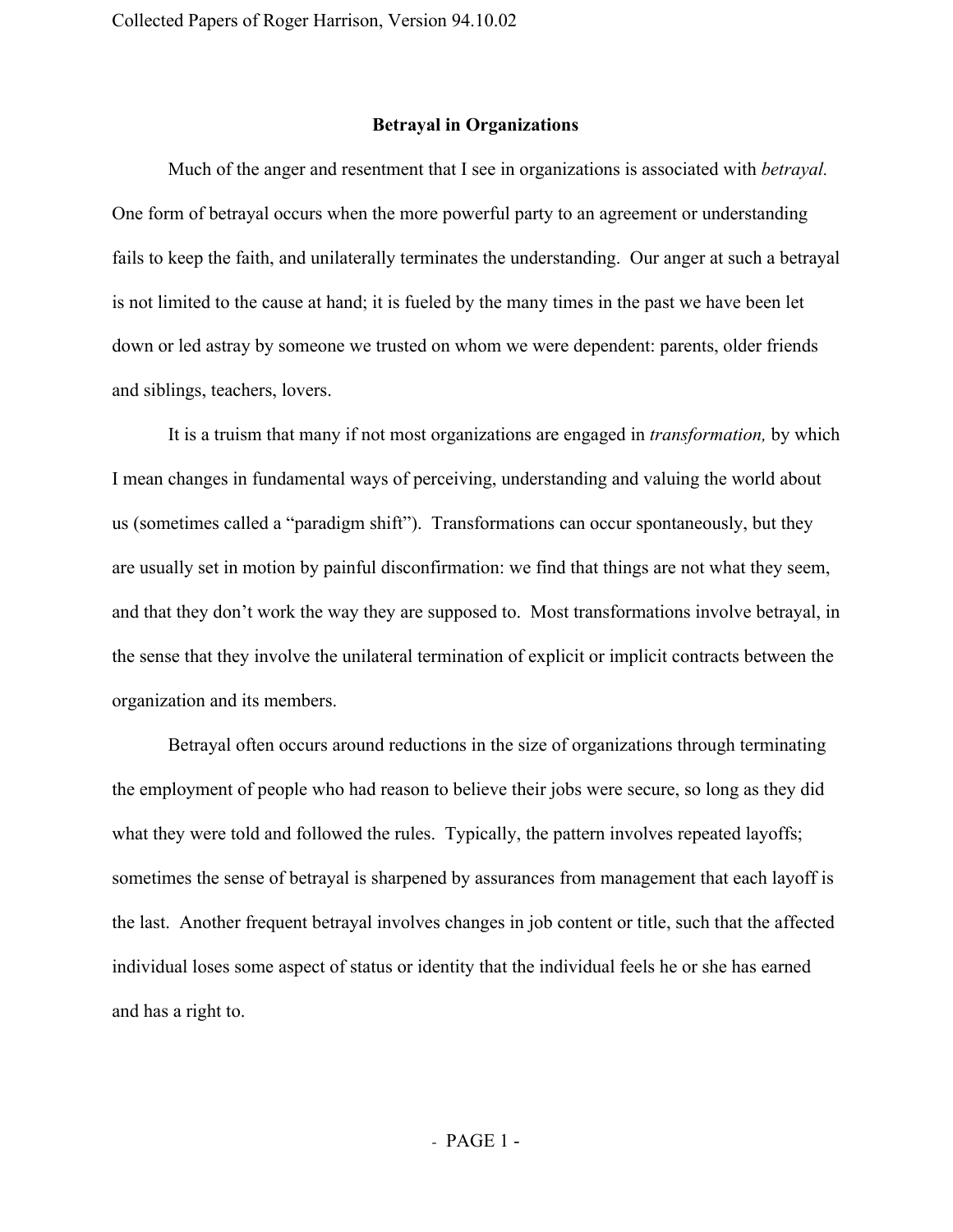## **Betrayal in Organizations**

Much of the anger and resentment that I see in organizations is associated with *betrayal.* One form of betrayal occurs when the more powerful party to an agreement or understanding fails to keep the faith, and unilaterally terminates the understanding. Our anger at such a betrayal is not limited to the cause at hand; it is fueled by the many times in the past we have been let down or led astray by someone we trusted on whom we were dependent: parents, older friends and siblings, teachers, lovers.

It is a truism that many if not most organizations are engaged in *transformation,* by which I mean changes in fundamental ways of perceiving, understanding and valuing the world about us (sometimes called a "paradigm shift"). Transformations can occur spontaneously, but they are usually set in motion by painful disconfirmation: we find that things are not what they seem, and that they don't work the way they are supposed to. Most transformations involve betrayal, in the sense that they involve the unilateral termination of explicit or implicit contracts between the organization and its members.

Betrayal often occurs around reductions in the size of organizations through terminating the employment of people who had reason to believe their jobs were secure, so long as they did what they were told and followed the rules. Typically, the pattern involves repeated layoffs; sometimes the sense of betrayal is sharpened by assurances from management that each layoff is the last. Another frequent betrayal involves changes in job content or title, such that the affected individual loses some aspect of status or identity that the individual feels he or she has earned and has a right to.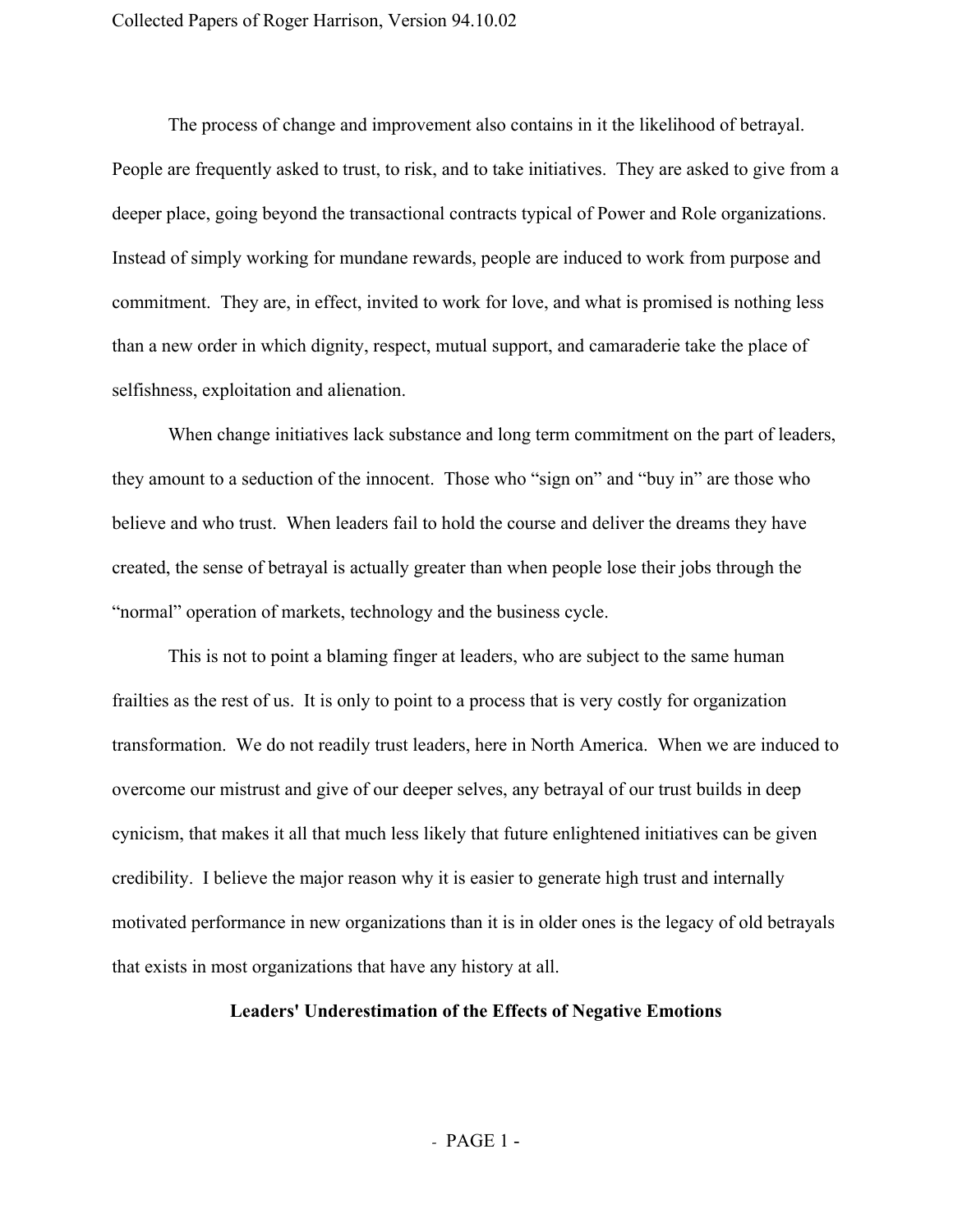The process of change and improvement also contains in it the likelihood of betrayal. People are frequently asked to trust, to risk, and to take initiatives. They are asked to give from a deeper place, going beyond the transactional contracts typical of Power and Role organizations. Instead of simply working for mundane rewards, people are induced to work from purpose and commitment. They are, in effect, invited to work for love, and what is promised is nothing less than a new order in which dignity, respect, mutual support, and camaraderie take the place of selfishness, exploitation and alienation.

When change initiatives lack substance and long term commitment on the part of leaders, they amount to a seduction of the innocent. Those who "sign on" and "buy in" are those who believe and who trust. When leaders fail to hold the course and deliver the dreams they have created, the sense of betrayal is actually greater than when people lose their jobs through the "normal" operation of markets, technology and the business cycle.

This is not to point a blaming finger at leaders, who are subject to the same human frailties as the rest of us. It is only to point to a process that is very costly for organization transformation. We do not readily trust leaders, here in North America. When we are induced to overcome our mistrust and give of our deeper selves, any betrayal of our trust builds in deep cynicism, that makes it all that much less likely that future enlightened initiatives can be given credibility. I believe the major reason why it is easier to generate high trust and internally motivated performance in new organizations than it is in older ones is the legacy of old betrayals that exists in most organizations that have any history at all.

## **Leaders' Underestimation of the Effects of Negative Emotions**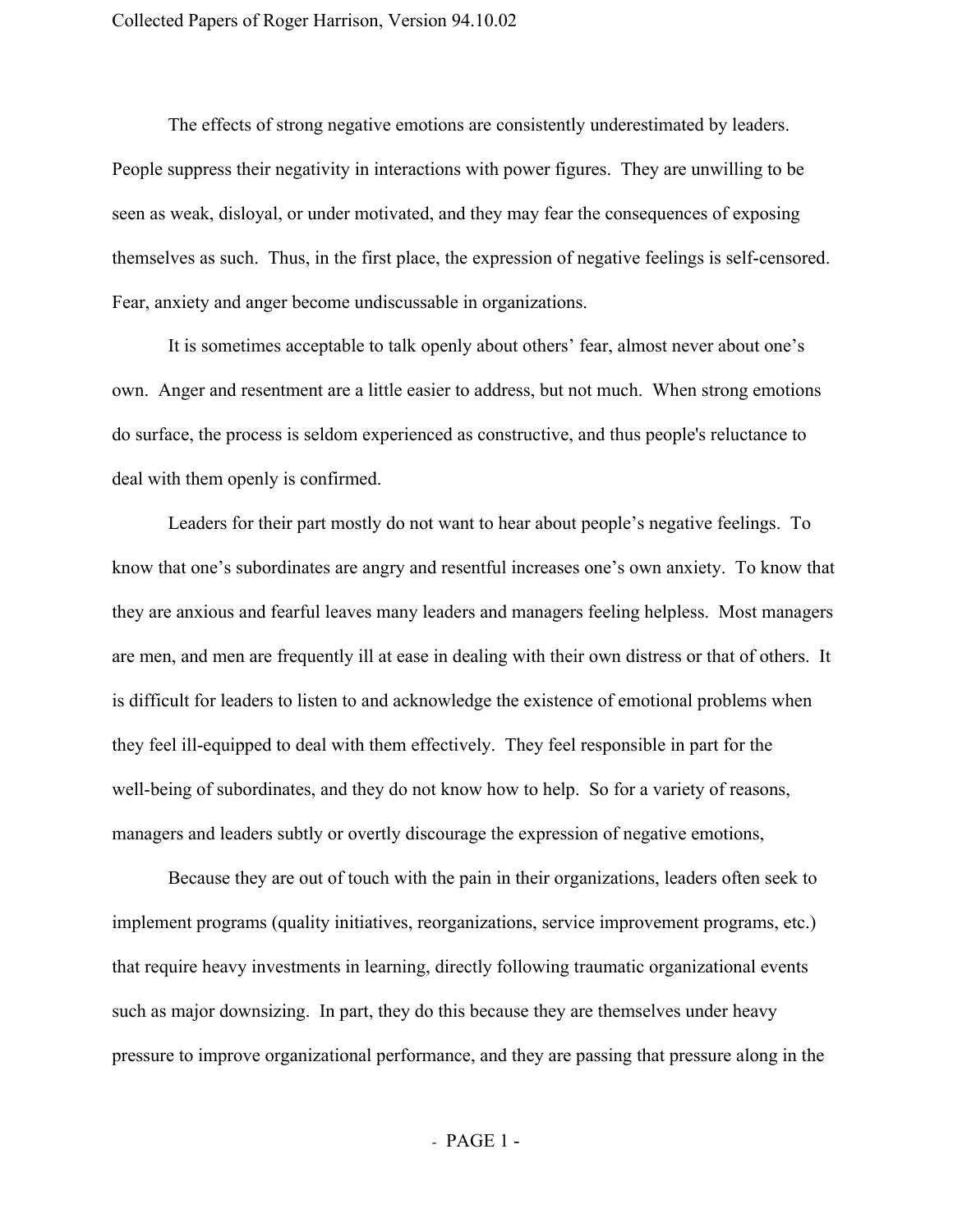The effects of strong negative emotions are consistently underestimated by leaders. People suppress their negativity in interactions with power figures. They are unwilling to be seen as weak, disloyal, or under motivated, and they may fear the consequences of exposing themselves as such. Thus, in the first place, the expression of negative feelings is self-censored. Fear, anxiety and anger become undiscussable in organizations.

It is sometimes acceptable to talk openly about others' fear, almost never about one's own. Anger and resentment are a little easier to address, but not much. When strong emotions do surface, the process is seldom experienced as constructive, and thus people's reluctance to deal with them openly is confirmed.

Leaders for their part mostly do not want to hear about people's negative feelings. To know that one's subordinates are angry and resentful increases one's own anxiety. To know that they are anxious and fearful leaves many leaders and managers feeling helpless. Most managers are men, and men are frequently ill at ease in dealing with their own distress or that of others. It is difficult for leaders to listen to and acknowledge the existence of emotional problems when they feel ill-equipped to deal with them effectively. They feel responsible in part for the well-being of subordinates, and they do not know how to help. So for a variety of reasons, managers and leaders subtly or overtly discourage the expression of negative emotions,

Because they are out of touch with the pain in their organizations, leaders often seek to implement programs (quality initiatives, reorganizations, service improvement programs, etc.) that require heavy investments in learning, directly following traumatic organizational events such as major downsizing. In part, they do this because they are themselves under heavy pressure to improve organizational performance, and they are passing that pressure along in the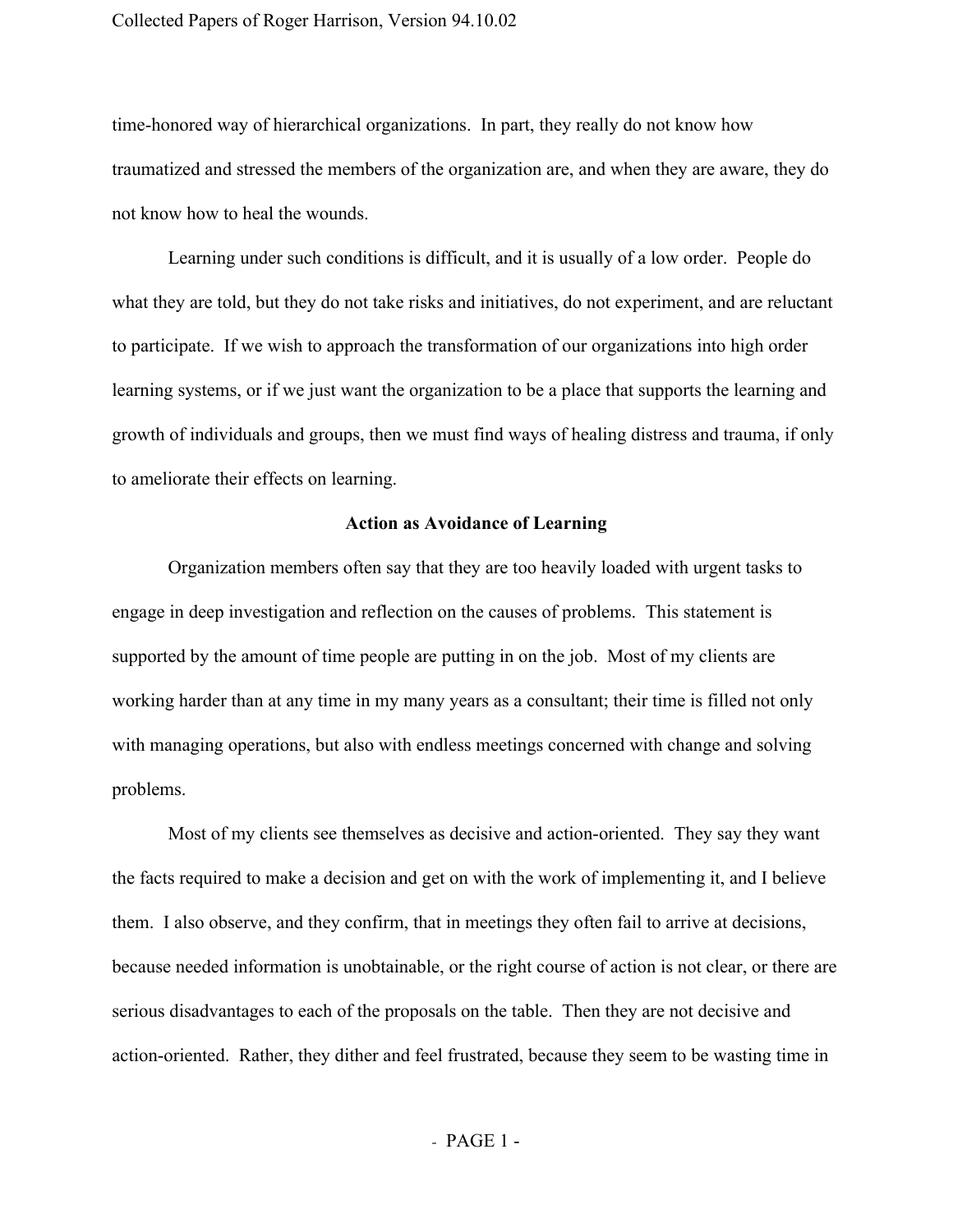#### Collected Papers of Roger Harrison, Version 94.10.02

time-honored way of hierarchical organizations. In part, they really do not know how traumatized and stressed the members of the organization are, and when they are aware, they do not know how to heal the wounds.

Learning under such conditions is difficult, and it is usually of a low order. People do what they are told, but they do not take risks and initiatives, do not experiment, and are reluctant to participate. If we wish to approach the transformation of our organizations into high order learning systems, or if we just want the organization to be a place that supports the learning and growth of individuals and groups, then we must find ways of healing distress and trauma, if only to ameliorate their effects on learning.

#### **Action as Avoidance of Learning**

Organization members often say that they are too heavily loaded with urgent tasks to engage in deep investigation and reflection on the causes of problems. This statement is supported by the amount of time people are putting in on the job. Most of my clients are working harder than at any time in my many years as a consultant; their time is filled not only with managing operations, but also with endless meetings concerned with change and solving problems.

Most of my clients see themselves as decisive and action-oriented. They say they want the facts required to make a decision and get on with the work of implementing it, and I believe them. I also observe, and they confirm, that in meetings they often fail to arrive at decisions, because needed information is unobtainable, or the right course of action is not clear, or there are serious disadvantages to each of the proposals on the table. Then they are not decisive and action-oriented. Rather, they dither and feel frustrated, because they seem to be wasting time in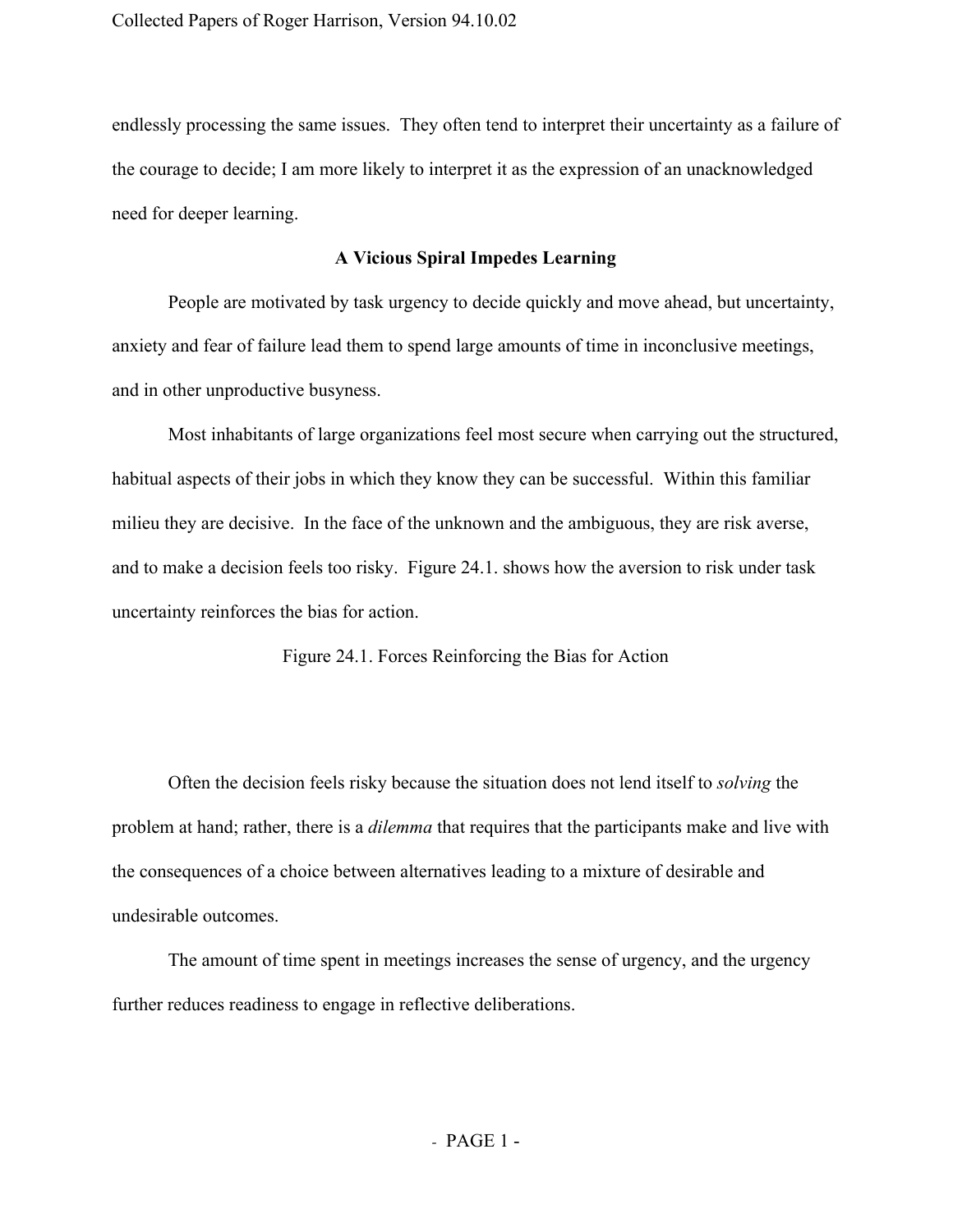endlessly processing the same issues. They often tend to interpret their uncertainty as a failure of the courage to decide; I am more likely to interpret it as the expression of an unacknowledged need for deeper learning.

# **A Vicious Spiral Impedes Learning**

People are motivated by task urgency to decide quickly and move ahead, but uncertainty, anxiety and fear of failure lead them to spend large amounts of time in inconclusive meetings, and in other unproductive busyness.

Most inhabitants of large organizations feel most secure when carrying out the structured, habitual aspects of their jobs in which they know they can be successful. Within this familiar milieu they are decisive. In the face of the unknown and the ambiguous, they are risk averse, and to make a decision feels too risky. Figure 24.1. shows how the aversion to risk under task uncertainty reinforces the bias for action.

Figure 24.1. Forces Reinforcing the Bias for Action

Often the decision feels risky because the situation does not lend itself to *solving* the problem at hand; rather, there is a *dilemma* that requires that the participants make and live with the consequences of a choice between alternatives leading to a mixture of desirable and undesirable outcomes.

The amount of time spent in meetings increases the sense of urgency, and the urgency further reduces readiness to engage in reflective deliberations.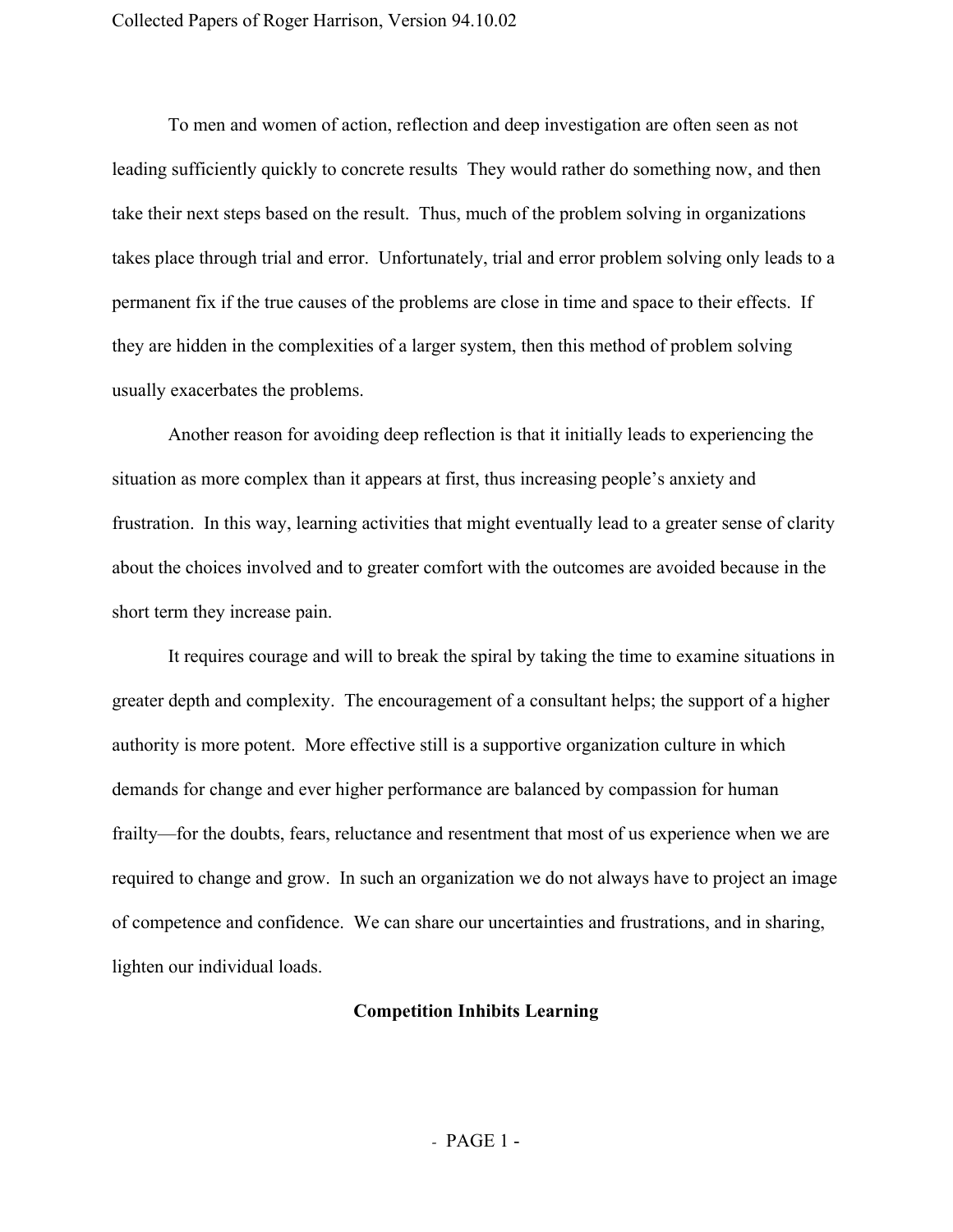To men and women of action, reflection and deep investigation are often seen as not leading sufficiently quickly to concrete results They would rather do something now, and then take their next steps based on the result. Thus, much of the problem solving in organizations takes place through trial and error. Unfortunately, trial and error problem solving only leads to a permanent fix if the true causes of the problems are close in time and space to their effects. If they are hidden in the complexities of a larger system, then this method of problem solving usually exacerbates the problems.

Another reason for avoiding deep reflection is that it initially leads to experiencing the situation as more complex than it appears at first, thus increasing people's anxiety and frustration. In this way, learning activities that might eventually lead to a greater sense of clarity about the choices involved and to greater comfort with the outcomes are avoided because in the short term they increase pain.

It requires courage and will to break the spiral by taking the time to examine situations in greater depth and complexity. The encouragement of a consultant helps; the support of a higher authority is more potent. More effective still is a supportive organization culture in which demands for change and ever higher performance are balanced by compassion for human frailty—for the doubts, fears, reluctance and resentment that most of us experience when we are required to change and grow. In such an organization we do not always have to project an image of competence and confidence. We can share our uncertainties and frustrations, and in sharing, lighten our individual loads.

## **Competition Inhibits Learning**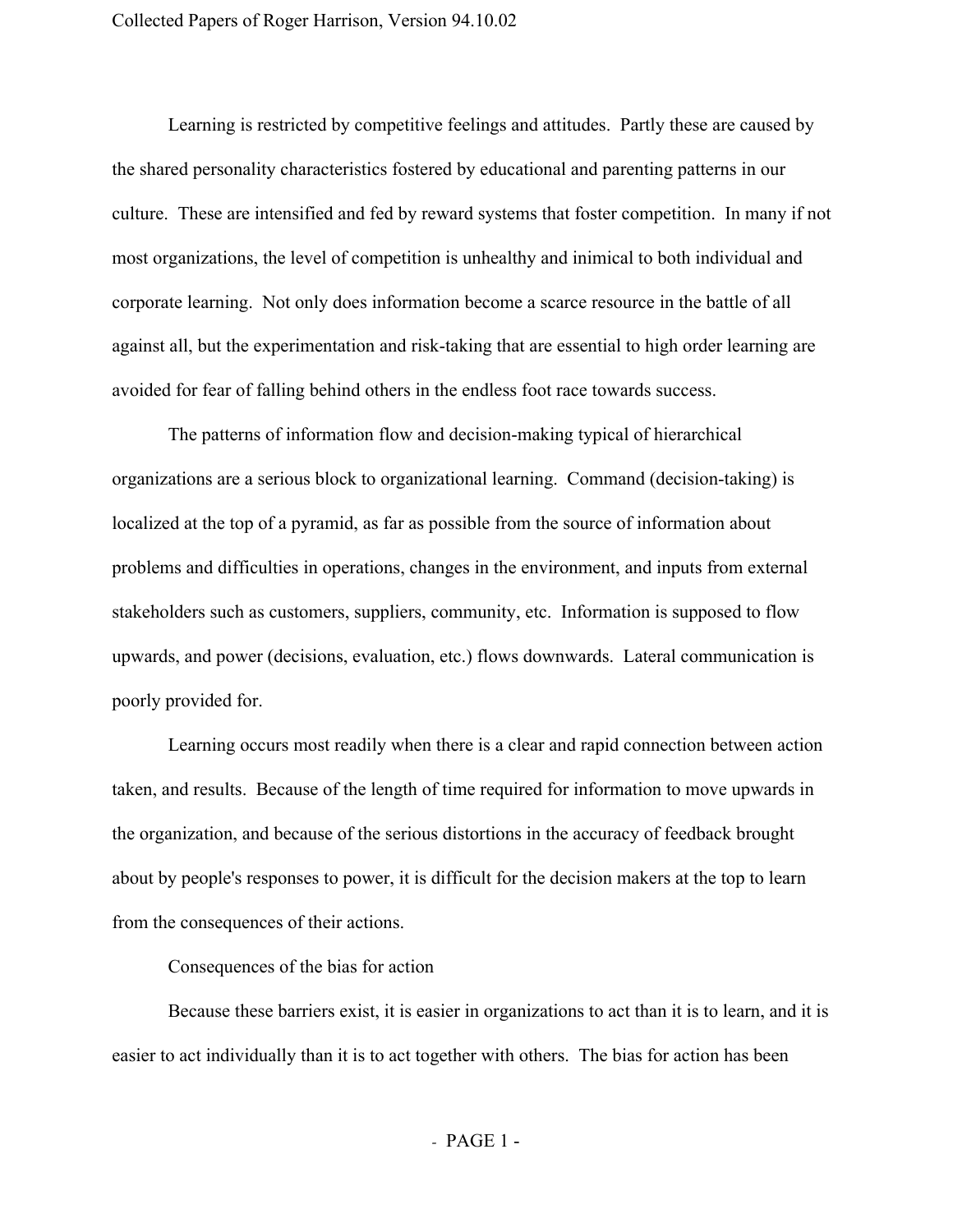Learning is restricted by competitive feelings and attitudes. Partly these are caused by the shared personality characteristics fostered by educational and parenting patterns in our culture. These are intensified and fed by reward systems that foster competition. In many if not most organizations, the level of competition is unhealthy and inimical to both individual and corporate learning. Not only does information become a scarce resource in the battle of all against all, but the experimentation and risk-taking that are essential to high order learning are avoided for fear of falling behind others in the endless foot race towards success.

The patterns of information flow and decision-making typical of hierarchical organizations are a serious block to organizational learning. Command (decision-taking) is localized at the top of a pyramid, as far as possible from the source of information about problems and difficulties in operations, changes in the environment, and inputs from external stakeholders such as customers, suppliers, community, etc. Information is supposed to flow upwards, and power (decisions, evaluation, etc.) flows downwards. Lateral communication is poorly provided for.

Learning occurs most readily when there is a clear and rapid connection between action taken, and results. Because of the length of time required for information to move upwards in the organization, and because of the serious distortions in the accuracy of feedback brought about by people's responses to power, it is difficult for the decision makers at the top to learn from the consequences of their actions.

Consequences of the bias for action

Because these barriers exist, it is easier in organizations to act than it is to learn, and it is easier to act individually than it is to act together with others. The bias for action has been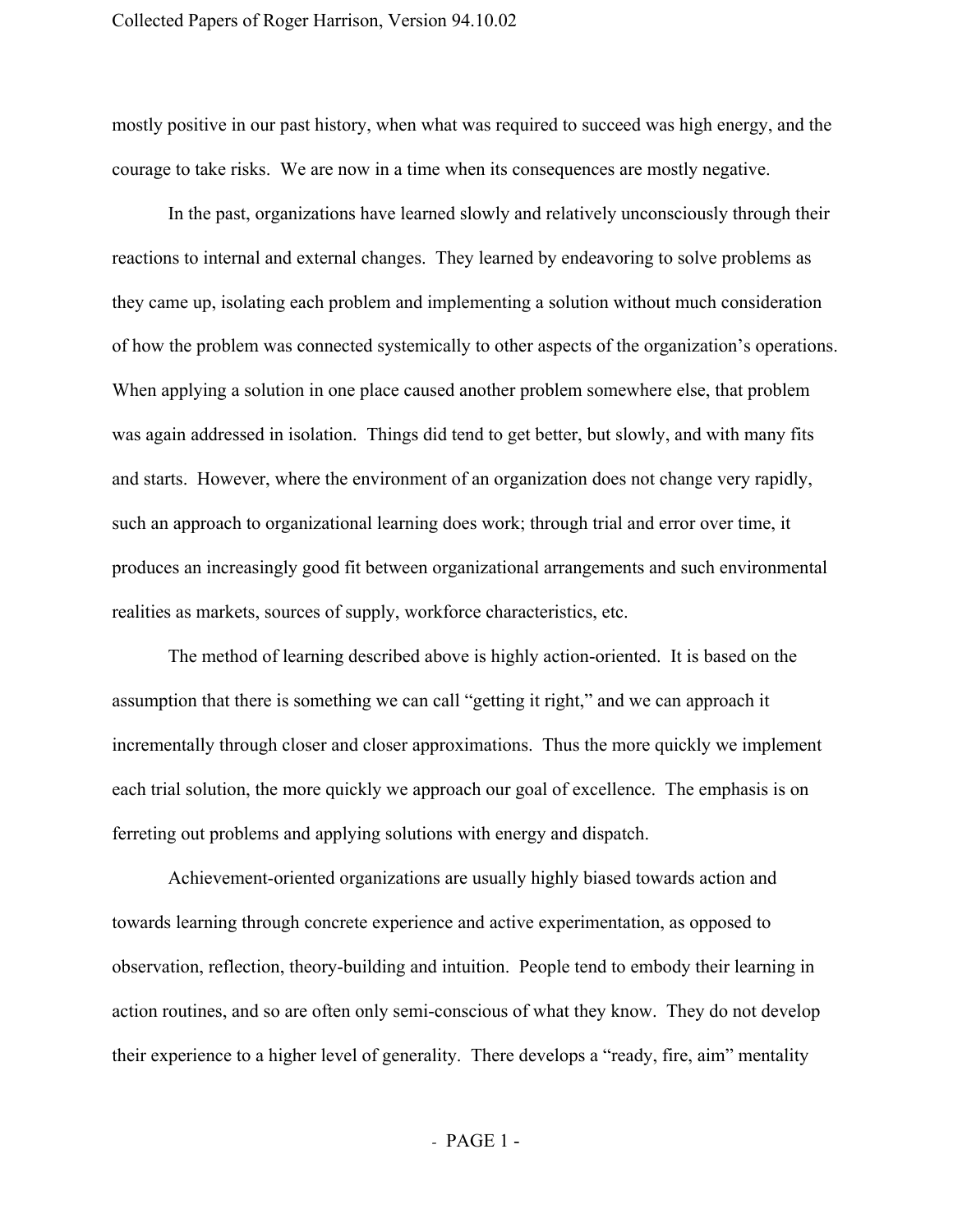mostly positive in our past history, when what was required to succeed was high energy, and the courage to take risks. We are now in a time when its consequences are mostly negative.

In the past, organizations have learned slowly and relatively unconsciously through their reactions to internal and external changes. They learned by endeavoring to solve problems as they came up, isolating each problem and implementing a solution without much consideration of how the problem was connected systemically to other aspects of the organization's operations. When applying a solution in one place caused another problem somewhere else, that problem was again addressed in isolation. Things did tend to get better, but slowly, and with many fits and starts. However, where the environment of an organization does not change very rapidly, such an approach to organizational learning does work; through trial and error over time, it produces an increasingly good fit between organizational arrangements and such environmental realities as markets, sources of supply, workforce characteristics, etc.

The method of learning described above is highly action-oriented. It is based on the assumption that there is something we can call "getting it right," and we can approach it incrementally through closer and closer approximations. Thus the more quickly we implement each trial solution, the more quickly we approach our goal of excellence. The emphasis is on ferreting out problems and applying solutions with energy and dispatch.

Achievement-oriented organizations are usually highly biased towards action and towards learning through concrete experience and active experimentation, as opposed to observation, reflection, theory-building and intuition. People tend to embody their learning in action routines, and so are often only semi-conscious of what they know. They do not develop their experience to a higher level of generality. There develops a "ready, fire, aim" mentality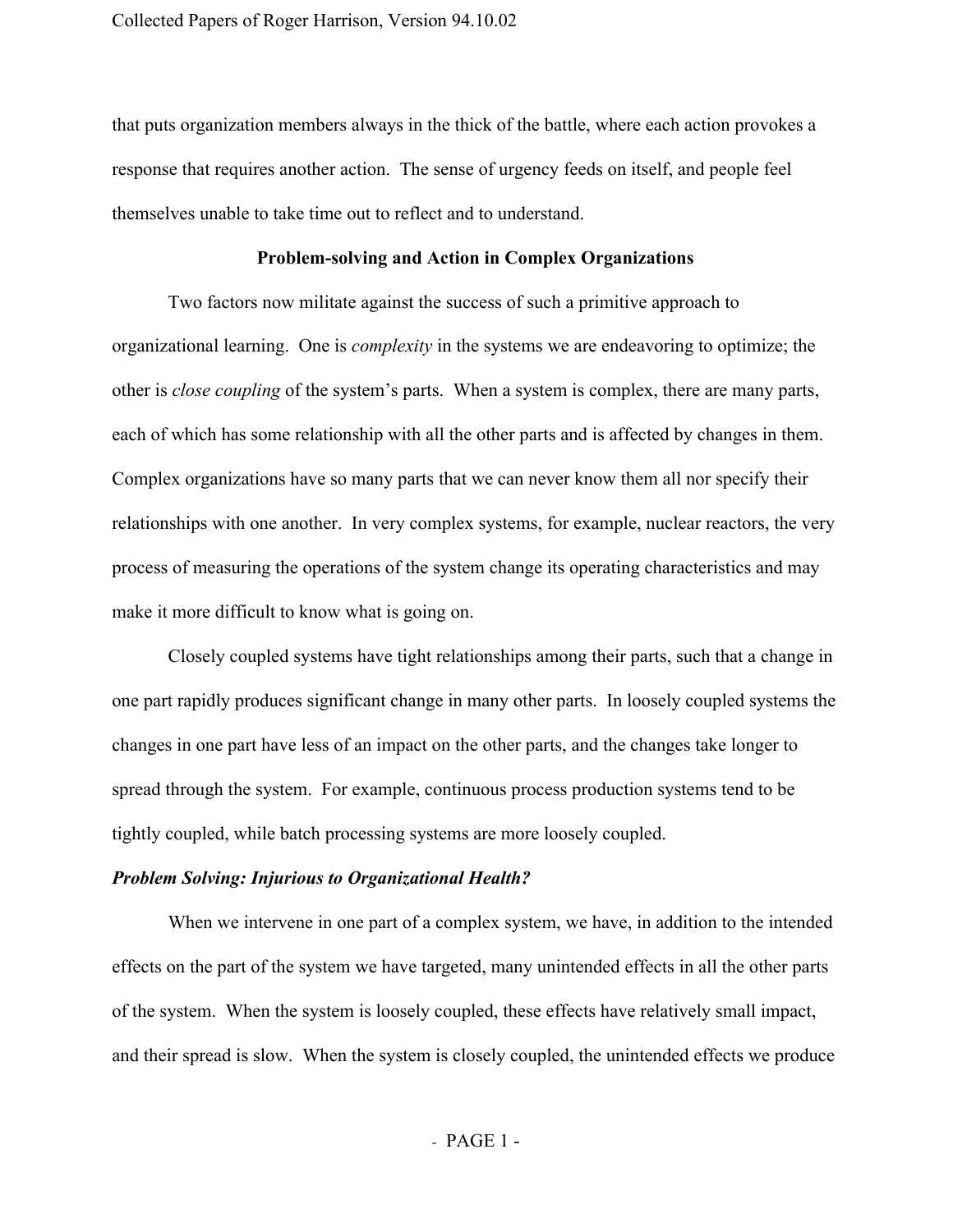that puts organization members always in the thick of the battle, where each action provokes a response that requires another action. The sense of urgency feeds on itself, and people feel themselves unable to take time out to reflect and to understand.

## **Problemsolving and Action in Complex Organizations**

Two factors now militate against the success of such a primitive approach to organizational learning. One is *complexity* in the systems we are endeavoring to optimize; the other is *close coupling* of the system's parts. When a system is complex, there are many parts, each of which has some relationship with all the other parts and is affected by changes in them. Complex organizations have so many parts that we can never know them all nor specify their relationships with one another. In very complex systems, for example, nuclear reactors, the very process of measuring the operations of the system change its operating characteristics and may make it more difficult to know what is going on.

Closely coupled systems have tight relationships among their parts, such that a change in one part rapidly produces significant change in many other parts. In loosely coupled systems the changes in one part have less of an impact on the other parts, and the changes take longer to spread through the system. For example, continuous process production systems tend to be tightly coupled, while batch processing systems are more loosely coupled.

#### *Problem Solving: Injurious to Organizational Health?*

When we intervene in one part of a complex system, we have, in addition to the intended effects on the part of the system we have targeted, many unintended effects in all the other parts of the system. When the system is loosely coupled, these effects have relatively small impact, and their spread is slow. When the system is closely coupled, the unintended effects we produce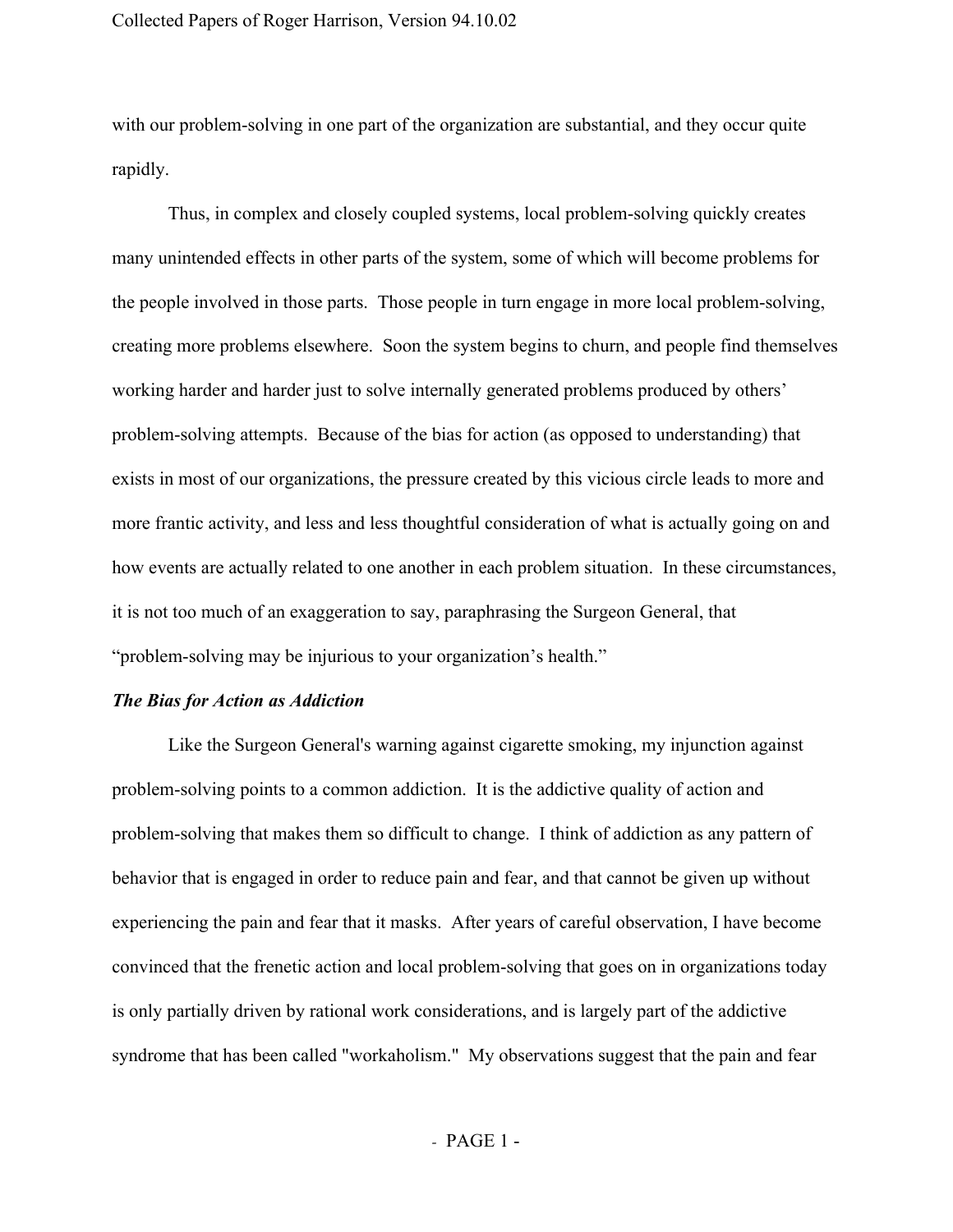with our problem-solving in one part of the organization are substantial, and they occur quite rapidly.

Thus, in complex and closely coupled systems, local problem-solving quickly creates many unintended effects in other parts of the system, some of which will become problems for the people involved in those parts. Those people in turn engage in more local problem-solving, creating more problems elsewhere. Soon the system begins to churn, and people find themselves working harder and harder just to solve internally generated problems produced by others' problem-solving attempts. Because of the bias for action (as opposed to understanding) that exists in most of our organizations, the pressure created by this vicious circle leads to more and more frantic activity, and less and less thoughtful consideration of what is actually going on and how events are actually related to one another in each problem situation. In these circumstances, it is not too much of an exaggeration to say, paraphrasing the Surgeon General, that "problem-solving may be injurious to your organization's health."

## *The Bias for Action as Addiction*

Like the Surgeon General's warning against cigarette smoking, my injunction against problem-solving points to a common addiction. It is the addictive quality of action and problem-solving that makes them so difficult to change. I think of addiction as any pattern of behavior that is engaged in order to reduce pain and fear, and that cannot be given up without experiencing the pain and fear that it masks. After years of careful observation, I have become convinced that the frenetic action and local problem-solving that goes on in organizations today is only partially driven by rational work considerations, and is largely part of the addictive syndrome that has been called "workaholism." My observations suggest that the pain and fear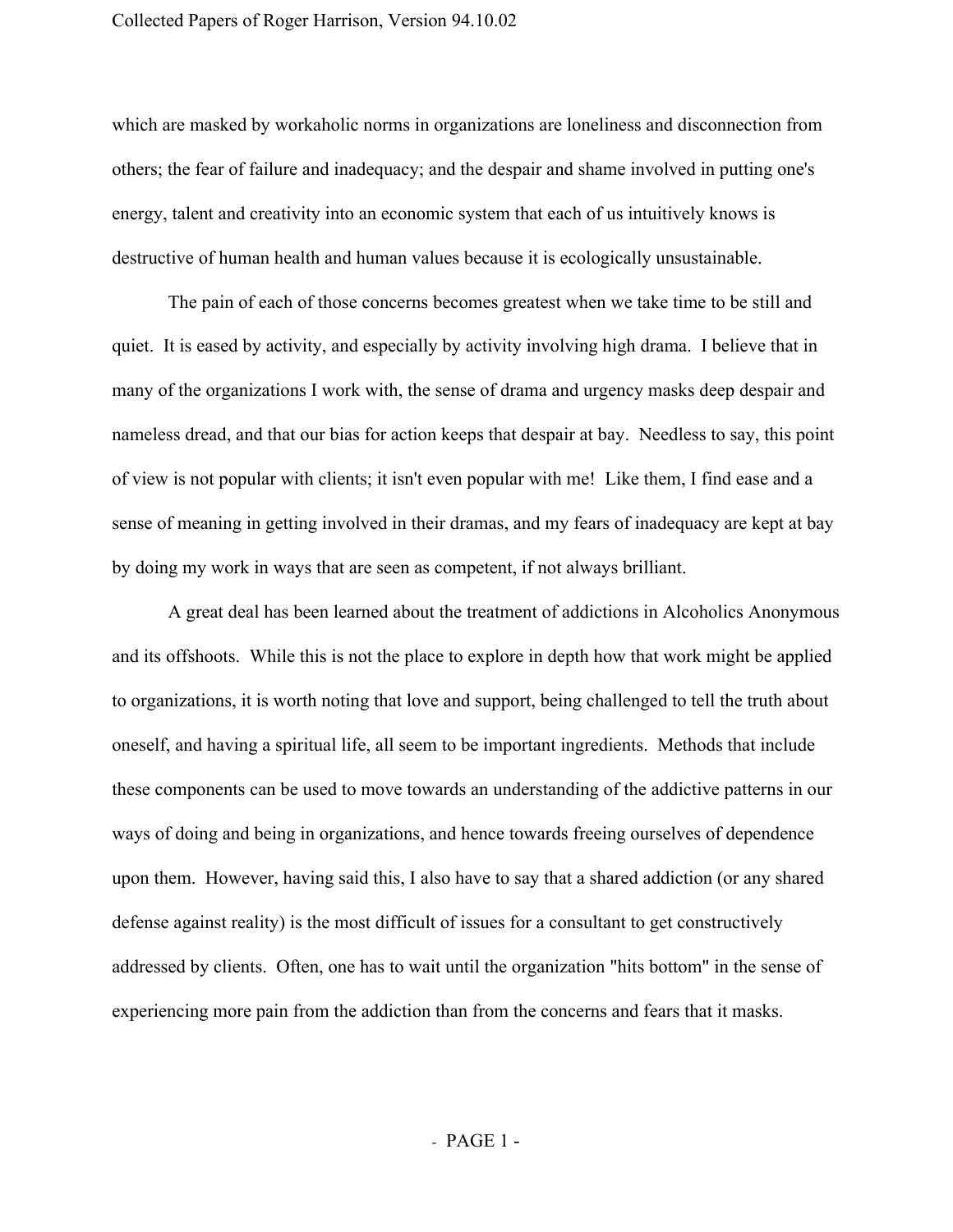which are masked by workaholic norms in organizations are loneliness and disconnection from others; the fear of failure and inadequacy; and the despair and shame involved in putting one's energy, talent and creativity into an economic system that each of us intuitively knows is destructive of human health and human values because it is ecologically unsustainable.

The pain of each of those concerns becomes greatest when we take time to be still and quiet. It is eased by activity, and especially by activity involving high drama. I believe that in many of the organizations I work with, the sense of drama and urgency masks deep despair and nameless dread, and that our bias for action keeps that despair at bay. Needless to say, this point of view is not popular with clients; it isn't even popular with me! Like them, I find ease and a sense of meaning in getting involved in their dramas, and my fears of inadequacy are kept at bay by doing my work in ways that are seen as competent, if not always brilliant.

A great deal has been learned about the treatment of addictions in Alcoholics Anonymous and its offshoots. While this is not the place to explore in depth how that work might be applied to organizations, it is worth noting that love and support, being challenged to tell the truth about oneself, and having a spiritual life, all seem to be important ingredients. Methods that include these components can be used to move towards an understanding of the addictive patterns in our ways of doing and being in organizations, and hence towards freeing ourselves of dependence upon them. However, having said this, I also have to say that a shared addiction (or any shared defense against reality) is the most difficult of issues for a consultant to get constructively addressed by clients. Often, one has to wait until the organization "hits bottom" in the sense of experiencing more pain from the addiction than from the concerns and fears that it masks.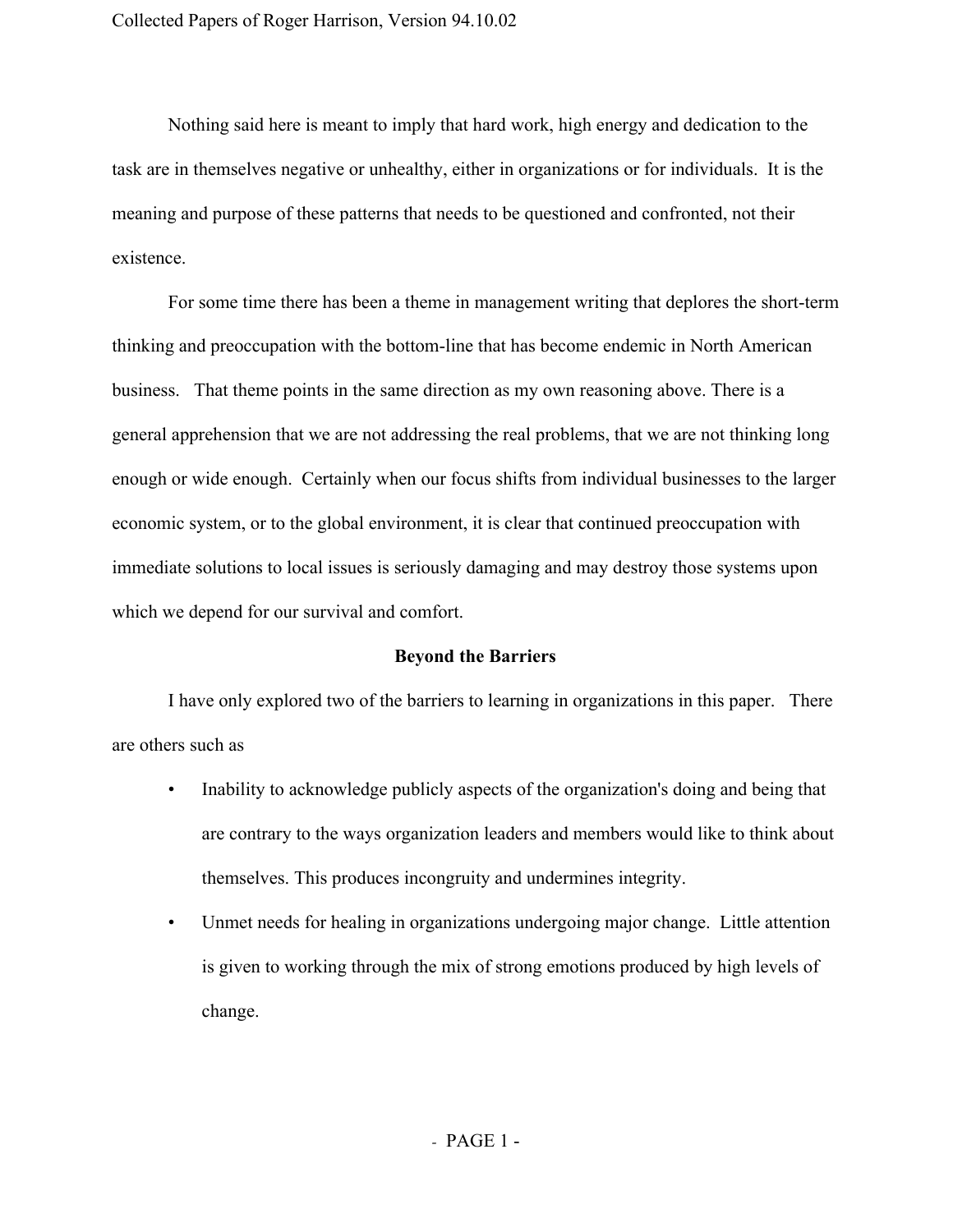Nothing said here is meant to imply that hard work, high energy and dedication to the task are in themselves negative or unhealthy, either in organizations or for individuals. It is the meaning and purpose of these patterns that needs to be questioned and confronted, not their existence.

For some time there has been a theme in management writing that deplores the short-term thinking and preoccupation with the bottom-line that has become endemic in North American business. That theme points in the same direction as my own reasoning above. There is a general apprehension that we are not addressing the real problems, that we are not thinking long enough or wide enough. Certainly when our focus shifts from individual businesses to the larger economic system, or to the global environment, it is clear that continued preoccupation with immediate solutions to local issues is seriously damaging and may destroy those systems upon which we depend for our survival and comfort.

#### **Beyond the Barriers**

I have only explored two of the barriers to learning in organizations in this paper. There are others such as

- Inability to acknowledge publicly aspects of the organization's doing and being that are contrary to the ways organization leaders and members would like to think about themselves. This produces incongruity and undermines integrity.
- Unmet needs for healing in organizations undergoing major change. Little attention is given to working through the mix of strong emotions produced by high levels of change.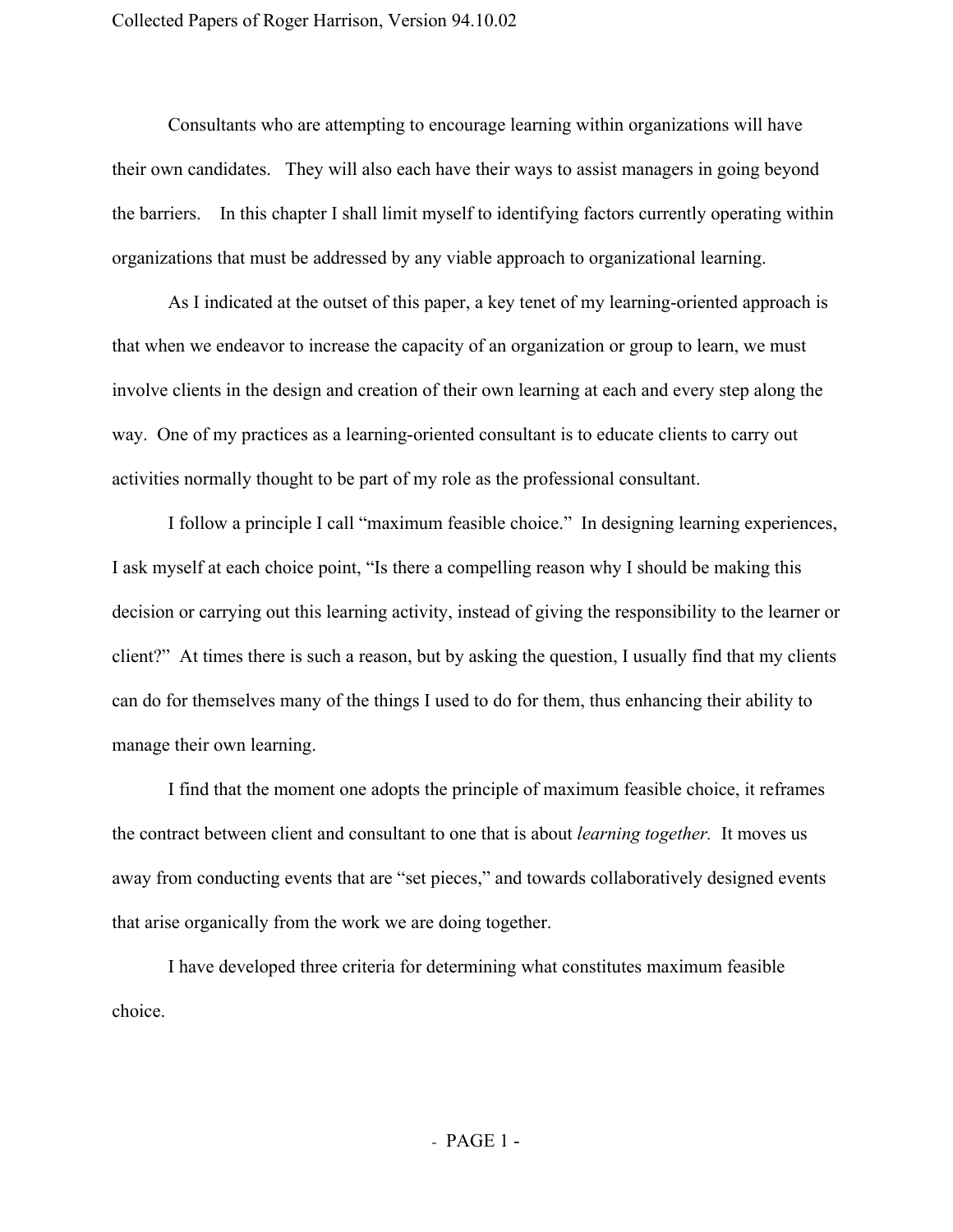Consultants who are attempting to encourage learning within organizations will have their own candidates. They will also each have their ways to assist managers in going beyond the barriers. In this chapter I shall limit myself to identifying factors currently operating within organizations that must be addressed by any viable approach to organizational learning.

As I indicated at the outset of this paper, a key tenet of my learning-oriented approach is that when we endeavor to increase the capacity of an organization or group to learn, we must involve clients in the design and creation of their own learning at each and every step along the way. One of my practices as a learning-oriented consultant is to educate clients to carry out activities normally thought to be part of my role as the professional consultant.

I follow a principle I call "maximum feasible choice." In designing learning experiences, I ask myself at each choice point, "Is there a compelling reason why I should be making this decision or carrying out this learning activity, instead of giving the responsibility to the learner or client?" At times there is such a reason, but by asking the question, I usually find that my clients can do for themselves many of the things I used to do for them, thus enhancing their ability to manage their own learning.

I find that the moment one adopts the principle of maximum feasible choice, it reframes the contract between client and consultant to one that is about *learning together.* It moves us away from conducting events that are "set pieces," and towards collaboratively designed events that arise organically from the work we are doing together.

I have developed three criteria for determining what constitutes maximum feasible choice.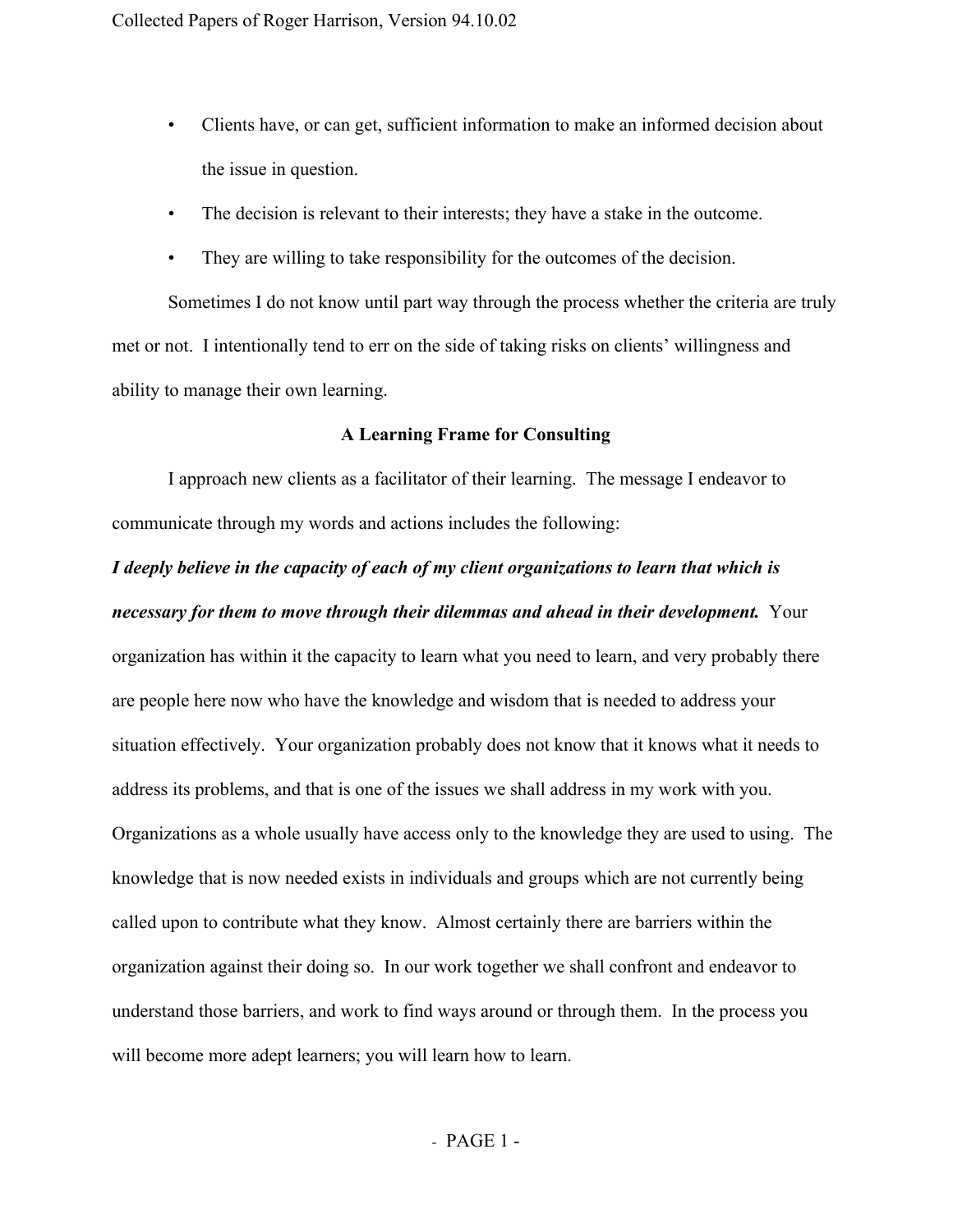- Clients have, or can get, sufficient information to make an informed decision about the issue in question.
- The decision is relevant to their interests; they have a stake in the outcome.
- They are willing to take responsibility for the outcomes of the decision.

Sometimes I do not know until part way through the process whether the criteria are truly met or not. I intentionally tend to err on the side of taking risks on clients' willingness and ability to manage their own learning.

## **A Learning Frame for Consulting**

I approach new clients as a facilitator of their learning. The message I endeavor to communicate through my words and actions includes the following:

*I deeply believe in the capacity of each of my client organizations to learn that which is necessary for them to move through their dilemmas and ahead in their development.* Your organization has within it the capacity to learn what you need to learn, and very probably there are people here now who have the knowledge and wisdom that is needed to address your situation effectively. Your organization probably does not know that it knows what it needs to address its problems, and that is one of the issues we shall address in my work with you. Organizations as a whole usually have access only to the knowledge they are used to using. The knowledge that is now needed exists in individuals and groups which are not currently being called upon to contribute what they know. Almost certainly there are barriers within the organization against their doing so. In our work together we shall confront and endeavor to understand those barriers, and work to find ways around or through them. In the process you will become more adept learners; you will learn how to learn.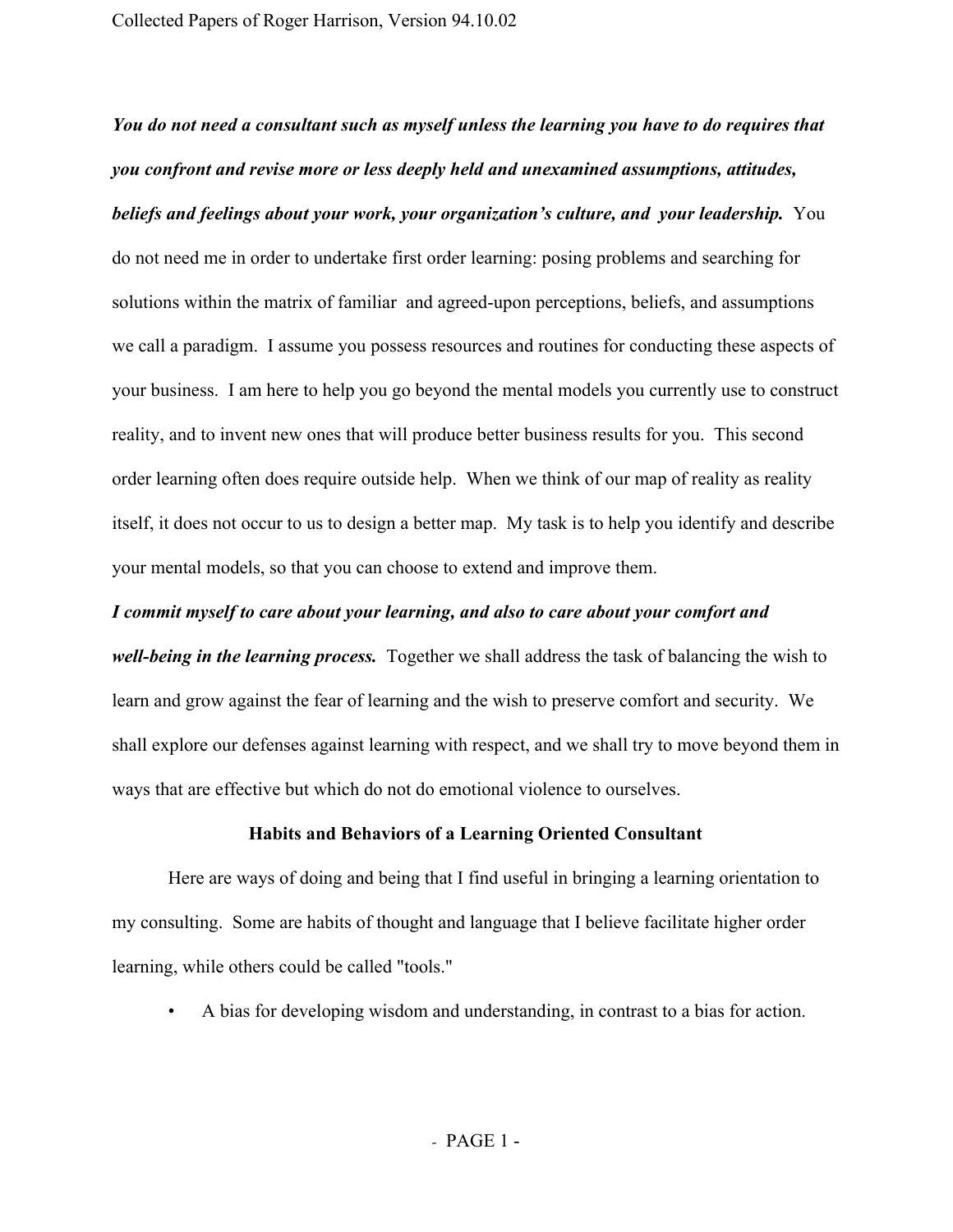*You do not need a consultant such as myself unless the learning you have to do requires that you confront and revise more or less deeply held and unexamined assumptions, attitudes, beliefs and feelings about your work, your organization's culture, and your leadership.*You do not need me in order to undertake first order learning: posing problems and searching for solutions within the matrix of familiar and agreed-upon perceptions, beliefs, and assumptions we call a paradigm. I assume you possess resources and routines for conducting these aspects of your business. I am here to help you go beyond the mental models you currently use to construct reality, and to invent new ones that will produce better business results for you. This second order learning often does require outside help. When we think of our map of reality as reality itself, it does not occur to us to design a better map. My task is to help you identify and describe your mental models, so that you can choose to extend and improve them.

*well-being in the learning process.* Together we shall address the task of balancing the wish to learn and grow against the fear of learning and the wish to preserve comfort and security. We shall explore our defenses against learning with respect, and we shall try to move beyond them in ways that are effective but which do not do emotional violence to ourselves.

*I commit myself to care about your learning, and also to care about your comfort and*

## **Habits and Behaviors of a Learning Oriented Consultant**

Here are ways of doing and being that I find useful in bringing a learning orientation to my consulting. Some are habits of thought and language that I believe facilitate higher order learning, while others could be called "tools."

• A bias for developing wisdom and understanding, in contrast to a bias for action.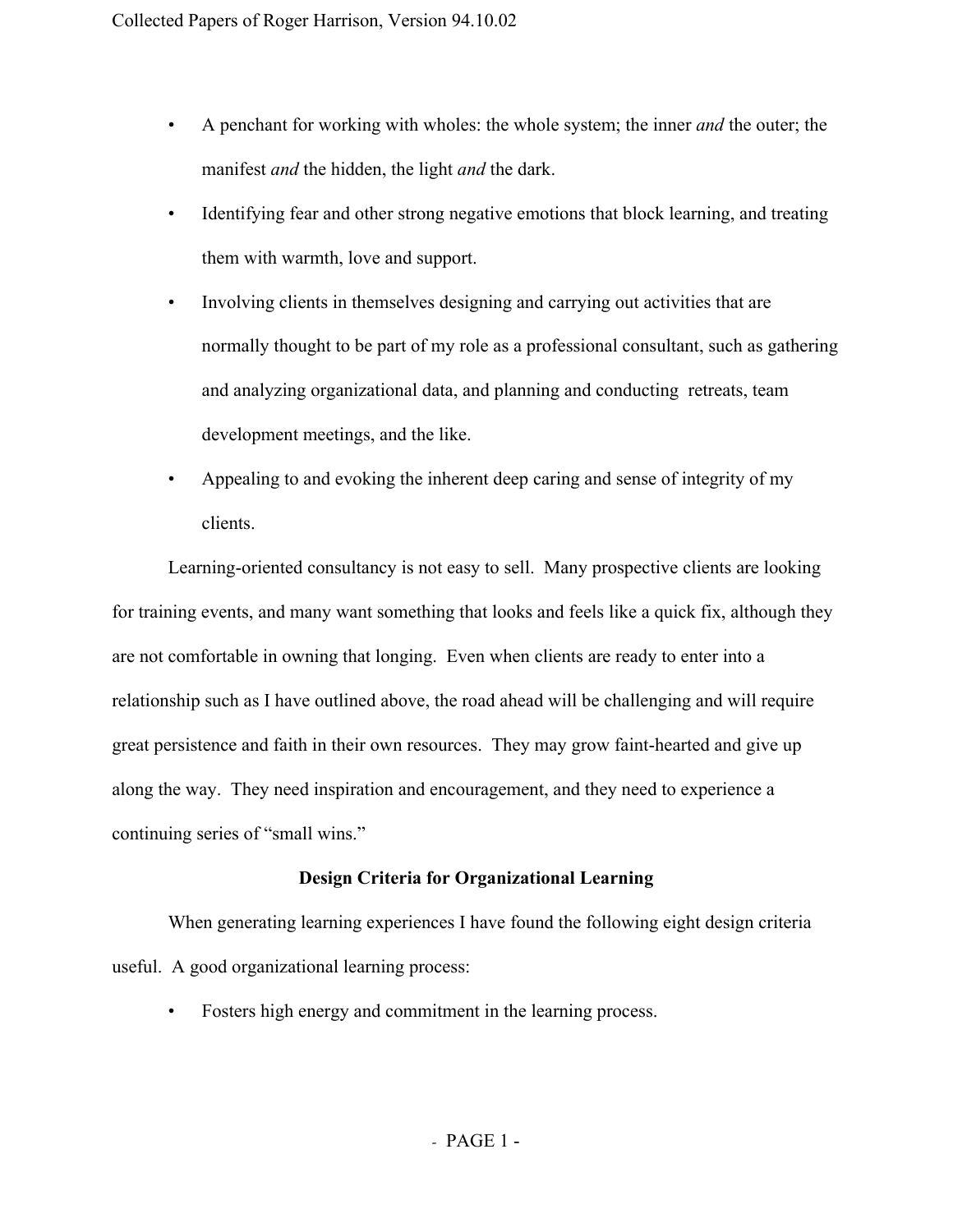- A penchant for working with wholes: the whole system; the inner *and* the outer; the manifest *and* the hidden, the light *and* the dark.
- Identifying fear and other strong negative emotions that block learning, and treating them with warmth, love and support.
- Involving clients in themselves designing and carrying out activities that are normally thought to be part of my role as a professional consultant, such as gathering and analyzing organizational data, and planning and conducting retreats, team development meetings, and the like.
- Appealing to and evoking the inherent deep caring and sense of integrity of my clients.

Learning-oriented consultancy is not easy to sell. Many prospective clients are looking for training events, and many want something that looks and feels like a quick fix, although they are not comfortable in owning that longing. Even when clients are ready to enter into a relationship such as I have outlined above, the road ahead will be challenging and will require great persistence and faith in their own resources. They may grow faint-hearted and give up along the way. They need inspiration and encouragement, and they need to experience a continuing series of "small wins."

# **Design Criteria for Organizational Learning**

When generating learning experiences I have found the following eight design criteria useful. A good organizational learning process:

• Fosters high energy and commitment in the learning process.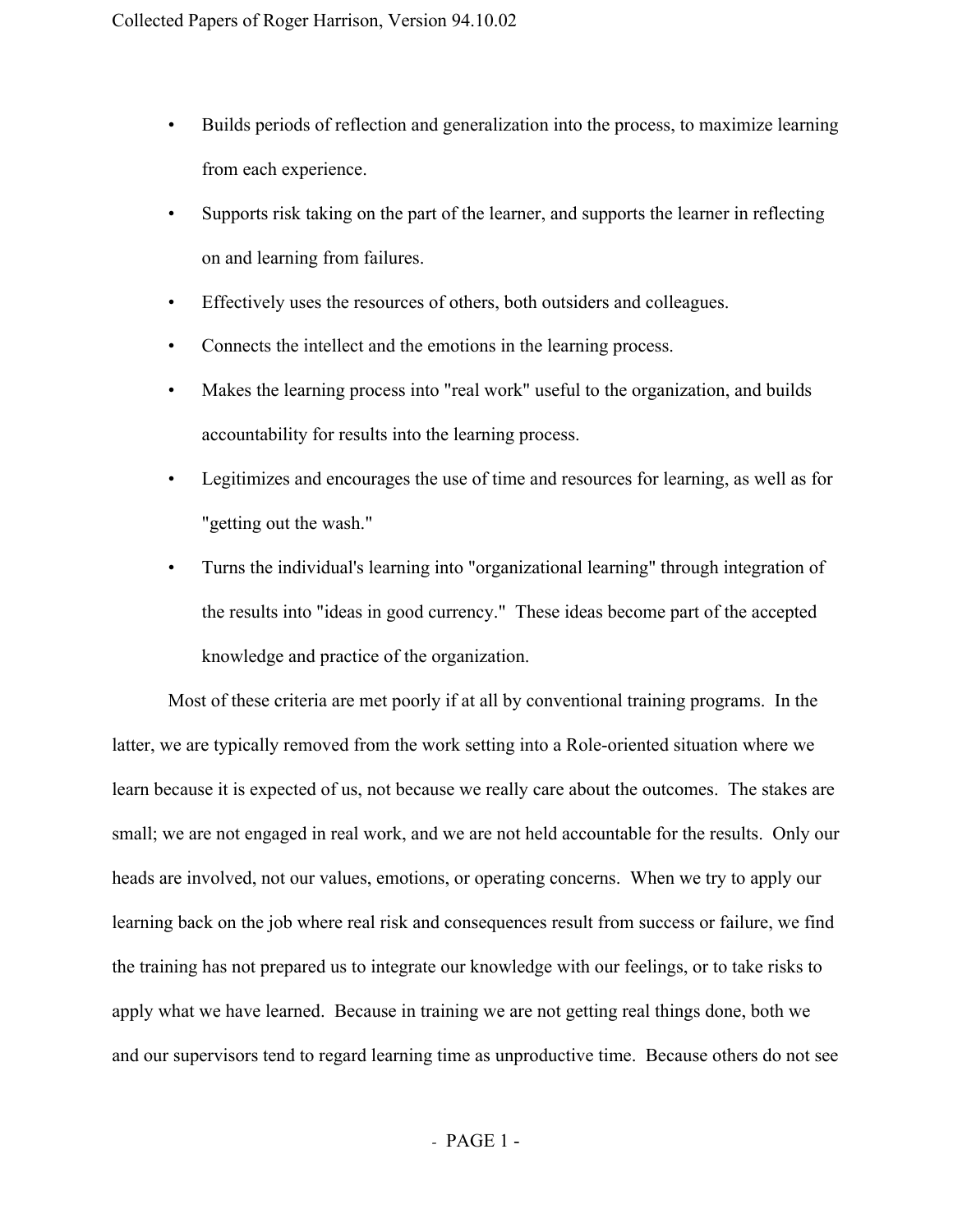- Builds periods of reflection and generalization into the process, to maximize learning from each experience.
- Supports risk taking on the part of the learner, and supports the learner in reflecting on and learning from failures.
- Effectively uses the resources of others, both outsiders and colleagues.
- Connects the intellect and the emotions in the learning process.
- Makes the learning process into "real work" useful to the organization, and builds accountability for results into the learning process.
- Legitimizes and encourages the use of time and resources for learning, as well as for "getting out the wash."
- Turns the individual's learning into "organizational learning" through integration of the results into "ideas in good currency." These ideas become part of the accepted knowledge and practice of the organization.

Most of these criteria are met poorly if at all by conventional training programs. In the latter, we are typically removed from the work setting into a Role-oriented situation where we learn because it is expected of us, not because we really care about the outcomes. The stakes are small; we are not engaged in real work, and we are not held accountable for the results. Only our heads are involved, not our values, emotions, or operating concerns. When we try to apply our learning back on the job where real risk and consequences result from success or failure, we find the training has not prepared us to integrate our knowledge with our feelings, or to take risks to apply what we have learned. Because in training we are not getting real things done, both we and our supervisors tend to regard learning time as unproductive time. Because others do not see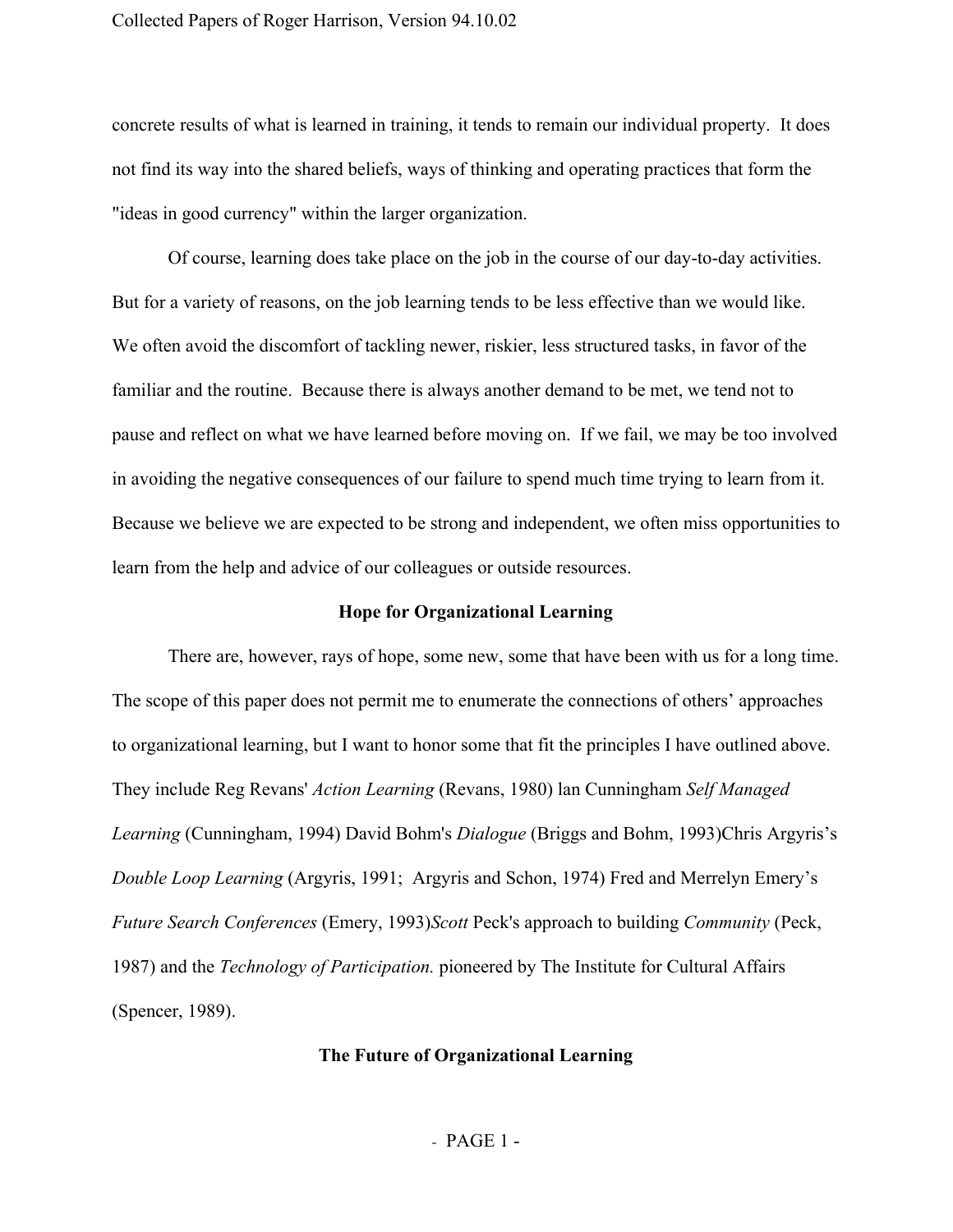concrete results of what is learned in training, it tends to remain our individual property. It does not find its way into the shared beliefs, ways of thinking and operating practices that form the "ideas in good currency" within the larger organization.

Of course, learning does take place on the job in the course of our day-to-day activities. But for a variety of reasons, on the job learning tends to be less effective than we would like. We often avoid the discomfort of tackling newer, riskier, less structured tasks, in favor of the familiar and the routine. Because there is always another demand to be met, we tend not to pause and reflect on what we have learned before moving on. If we fail, we may be too involved in avoiding the negative consequences of our failure to spend much time trying to learn from it. Because we believe we are expected to be strong and independent, we often miss opportunities to learn from the help and advice of our colleagues or outside resources.

#### **Hope for Organizational Learning**

There are, however, rays of hope, some new, some that have been with us for a long time. The scope of this paper does not permit me to enumerate the connections of others' approaches to organizational learning, but I want to honor some that fit the principles I have outlined above. They include Reg Revans' *Action Learning* (Revans, 1980) lan Cunningham *Self Managed Learning* (Cunningham, 1994) David Bohm's *Dialogue* (Briggs and Bohm, 1993)Chris Argyris's *Double Loop Learning* (Argyris, 1991; Argyris and Schon, 1974) Fred and Merrelyn Emery's *Future Search Conferences* (Emery, 1993)*Scott* Peck's approach to building *Community* (Peck, 1987) and the *Technology of Participation.* pioneered by The Institute for Cultural Affairs (Spencer, 1989).

#### **The Future of Organizational Learning**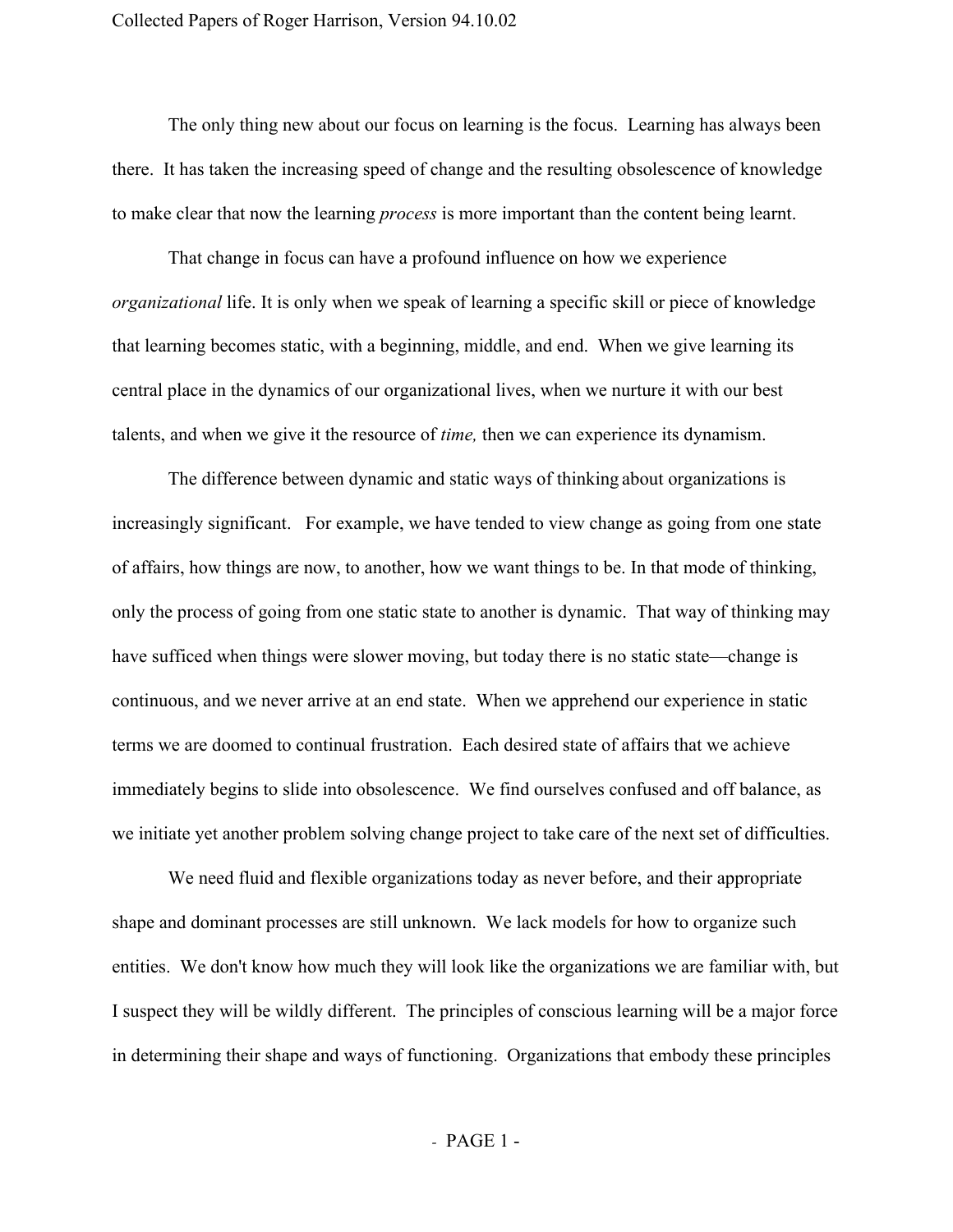The only thing new about our focus on learning is the focus. Learning has always been there. It has taken the increasing speed of change and the resulting obsolescence of knowledge to make clear that now the learning *process* is more important than the content being learnt.

That change in focus can have a profound influence on how we experience *organizational* life. It is only when we speak of learning a specific skill or piece of knowledge that learning becomes static, with a beginning, middle, and end. When we give learning its central place in the dynamics of our organizational lives, when we nurture it with our best talents, and when we give it the resource of *time,* then we can experience its dynamism.

The difference between dynamic and static ways of thinking about organizations is increasingly significant. For example, we have tended to view change as going from one state of affairs, how things are now, to another, how we want things to be. In that mode of thinking, only the process of going from one static state to another is dynamic. That way of thinking may have sufficed when things were slower moving, but today there is no static state—change is continuous, and we never arrive at an end state. When we apprehend our experience in static terms we are doomed to continual frustration. Each desired state of affairs that we achieve immediately begins to slide into obsolescence. We find ourselves confused and off balance, as we initiate yet another problem solving change project to take care of the next set of difficulties.

We need fluid and flexible organizations today as never before, and their appropriate shape and dominant processes are still unknown. We lack models for how to organize such entities. We don't know how much they will look like the organizations we are familiar with, but I suspect they will be wildly different. The principles of conscious learning will be a major force in determining their shape and ways of functioning. Organizations that embody these principles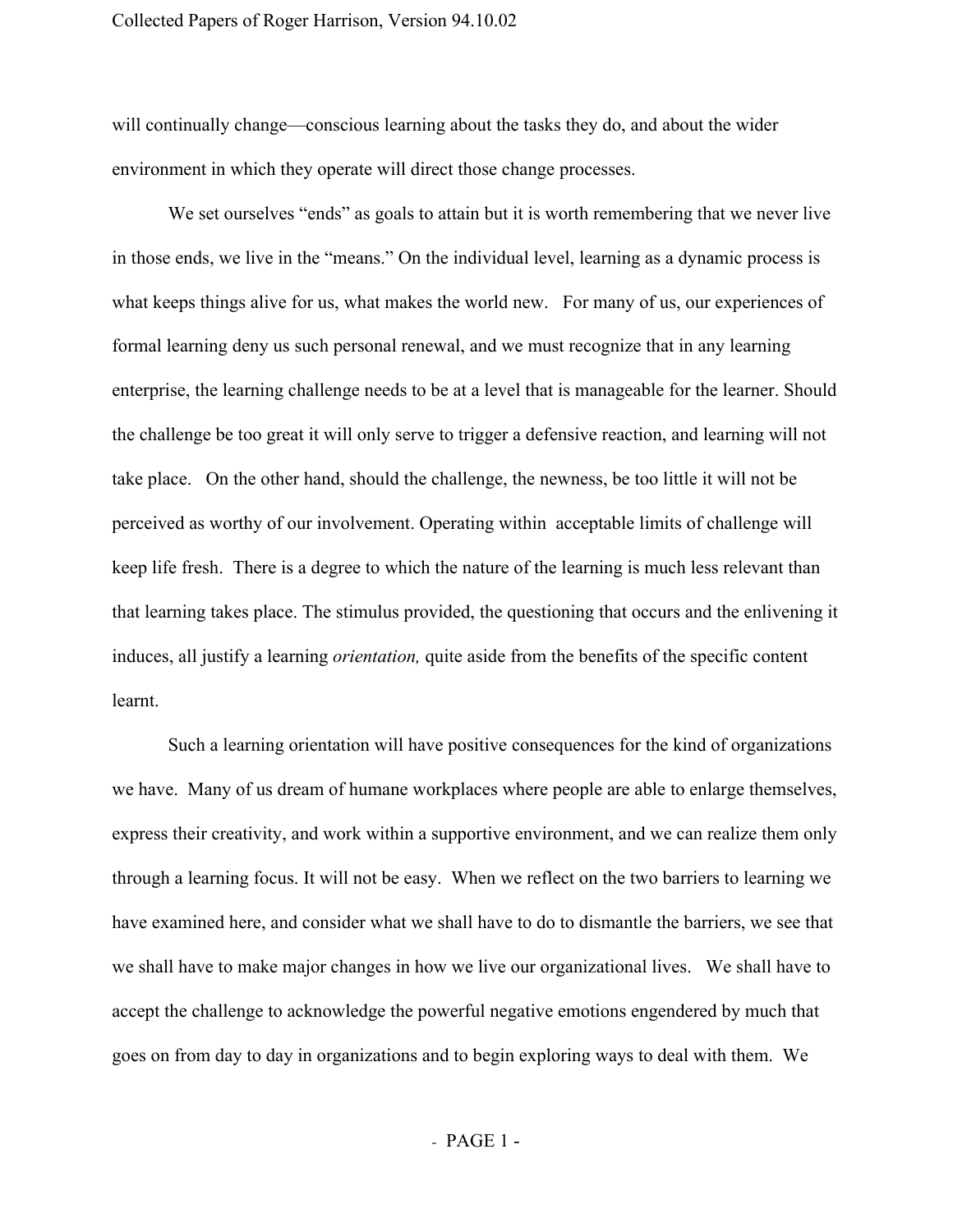will continually change—conscious learning about the tasks they do, and about the wider environment in which they operate will direct those change processes.

We set ourselves "ends" as goals to attain but it is worth remembering that we never live in those ends, we live in the "means." On the individual level, learning as a dynamic process is what keeps things alive for us, what makes the world new. For many of us, our experiences of formal learning deny us such personal renewal, and we must recognize that in any learning enterprise, the learning challenge needs to be at a level that is manageable for the learner. Should the challenge be too great it will only serve to trigger a defensive reaction, and learning will not take place. On the other hand, should the challenge, the newness, be too little it will not be perceived as worthy of our involvement. Operating within acceptable limits of challenge will keep life fresh. There is a degree to which the nature of the learning is much less relevant than that learning takes place. The stimulus provided, the questioning that occurs and the enlivening it induces, all justify a learning *orientation,* quite aside from the benefits of the specific content learnt.

Such a learning orientation will have positive consequences for the kind of organizations we have. Many of us dream of humane workplaces where people are able to enlarge themselves, express their creativity, and work within a supportive environment, and we can realize them only through a learning focus. It will not be easy. When we reflect on the two barriers to learning we have examined here, and consider what we shall have to do to dismantle the barriers, we see that we shall have to make major changes in how we live our organizational lives. We shall have to accept the challenge to acknowledge the powerful negative emotions engendered by much that goes on from day to day in organizations and to begin exploring ways to deal with them. We